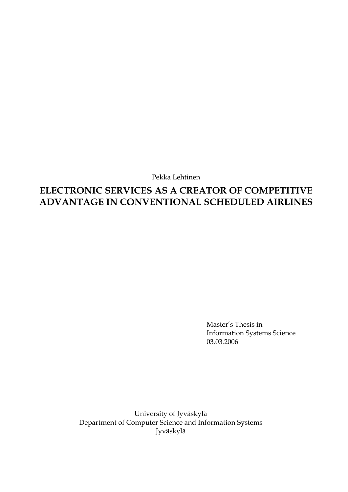Pekka Lehtinen

# **ELECTRONIC SERVICES AS A CREATOR OF COMPETITIVE ADVANTAGE IN CONVENTIONAL SCHEDULED AIRLINES**

Master's Thesis in Information Systems Science 03.03.2006

University of Jyväskylä Department of Computer Science and Information Systems Jyväskylä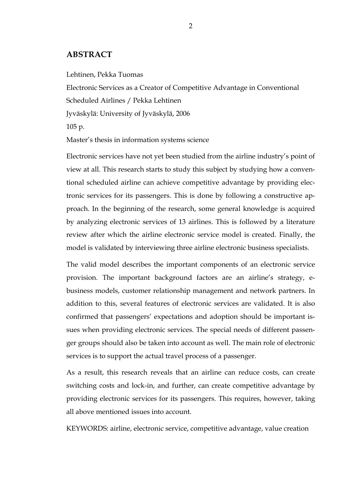### **ABSTRACT**

Lehtinen, Pekka Tuomas

Electronic Services as a Creator of Competitive Advantage in Conventional

Scheduled Airlines / Pekka Lehtinen

Jyväskylä: University of Jyväskylä, 2006

105 p.

Master's thesis in information systems science

Electronic services have not yet been studied from the airline industry's point of view at all. This research starts to study this subject by studying how a conventional scheduled airline can achieve competitive advantage by providing electronic services for its passengers. This is done by following a constructive approach. In the beginning of the research, some general knowledge is acquired by analyzing electronic services of 13 airlines. This is followed by a literature review after which the airline electronic service model is created. Finally, the model is validated by interviewing three airline electronic business specialists.

The valid model describes the important components of an electronic service provision. The important background factors are an airline's strategy, ebusiness models, customer relationship management and network partners. In addition to this, several features of electronic services are validated. It is also confirmed that passengers' expectations and adoption should be important issues when providing electronic services. The special needs of different passenger groups should also be taken into account as well. The main role of electronic services is to support the actual travel process of a passenger.

As a result, this research reveals that an airline can reduce costs, can create switching costs and lock-in, and further, can create competitive advantage by providing electronic services for its passengers. This requires, however, taking all above mentioned issues into account.

KEYWORDS: airline, electronic service, competitive advantage, value creation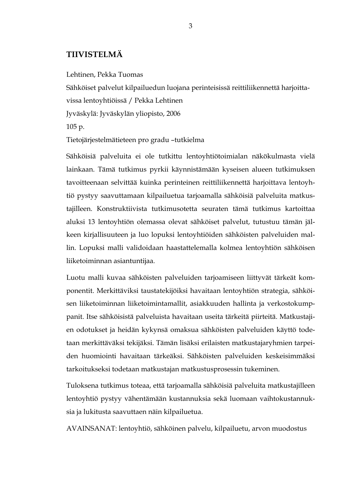# **TIIVISTELMÄ**

Lehtinen, Pekka Tuomas

Sähköiset palvelut kilpailuedun luojana perinteisissä reittiliikennettä harjoitta-

vissa lentoyhtiöissä / Pekka Lehtinen

Jyväskylä: Jyväskylän yliopisto, 2006

105 p.

Tietojärjestelmätieteen pro gradu –tutkielma

Sähköisiä palveluita ei ole tutkittu lentoyhtiötoimialan näkökulmasta vielä lainkaan. Tämä tutkimus pyrkii käynnistämään kyseisen alueen tutkimuksen tavoitteenaan selvittää kuinka perinteinen reittiliikennettä harjoittava lentoyhtiö pystyy saavuttamaan kilpailuetua tarjoamalla sähköisiä palveluita matkustajilleen. Konstruktiivista tutkimusotetta seuraten tämä tutkimus kartoittaa aluksi 13 lentoyhtiön olemassa olevat sähköiset palvelut, tutustuu tämän jälkeen kirjallisuuteen ja luo lopuksi lentoyhtiöiden sähköisten palveluiden mallin. Lopuksi malli validoidaan haastattelemalla kolmea lentoyhtiön sähköisen liiketoiminnan asiantuntijaa.

Luotu malli kuvaa sähköisten palveluiden tarjoamiseen liittyvät tärkeät komponentit. Merkittäviksi taustatekijöiksi havaitaan lentoyhtiön strategia, sähköisen liiketoiminnan liiketoimintamallit, asiakkuuden hallinta ja verkostokumppanit. Itse sähköisistä palveluista havaitaan useita tärkeitä piirteitä. Matkustajien odotukset ja heidän kykynsä omaksua sähköisten palveluiden käyttö todetaan merkittäväksi tekijäksi. Tämän lisäksi erilaisten matkustajaryhmien tarpeiden huomiointi havaitaan tärkeäksi. Sähköisten palveluiden keskeisimmäksi tarkoitukseksi todetaan matkustajan matkustusprosessin tukeminen.

Tuloksena tutkimus toteaa, että tarjoamalla sähköisiä palveluita matkustajilleen lentoyhtiö pystyy vähentämään kustannuksia sekä luomaan vaihtokustannuksia ja lukitusta saavuttaen näin kilpailuetua.

AVAINSANAT: lentoyhtiö, sähköinen palvelu, kilpailuetu, arvon muodostus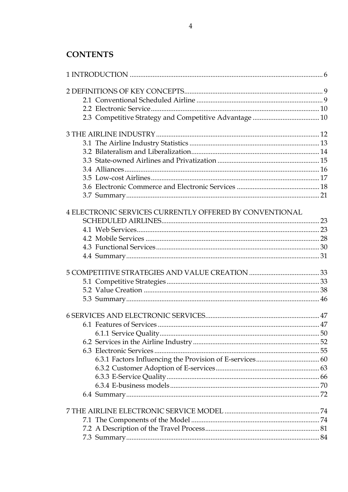| 4 ELECTRONIC SERVICES CURRENTLY OFFERED BY CONVENTIONAL |  |
|---------------------------------------------------------|--|
|                                                         |  |
|                                                         |  |
|                                                         |  |
|                                                         |  |
|                                                         |  |
|                                                         |  |
|                                                         |  |
|                                                         |  |
|                                                         |  |
|                                                         |  |
|                                                         |  |
|                                                         |  |
|                                                         |  |
|                                                         |  |
|                                                         |  |
|                                                         |  |
|                                                         |  |
|                                                         |  |
|                                                         |  |
|                                                         |  |
|                                                         |  |
|                                                         |  |
|                                                         |  |
|                                                         |  |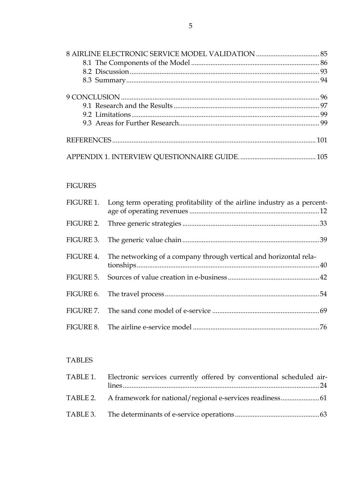# FIGURES

| FIGURE 1. Long term operating profitability of the airline industry as a percent- |  |
|-----------------------------------------------------------------------------------|--|
|                                                                                   |  |
|                                                                                   |  |
| FIGURE 4. The networking of a company through vertical and horizontal rela-       |  |
|                                                                                   |  |
|                                                                                   |  |
|                                                                                   |  |
|                                                                                   |  |

# TABLES

| TABLE 1. Electronic services currently offered by conventional scheduled air- |  |
|-------------------------------------------------------------------------------|--|
|                                                                               |  |
|                                                                               |  |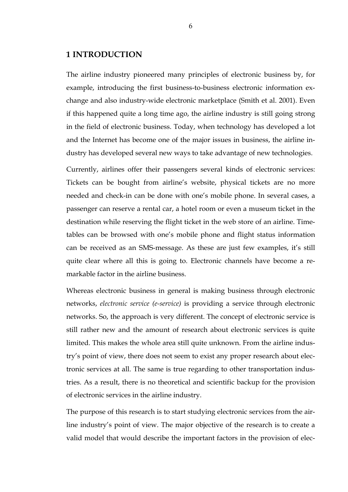### **1 INTRODUCTION**

The airline industry pioneered many principles of electronic business by, for example, introducing the first business-to-business electronic information exchange and also industry-wide electronic marketplace (Smith et al. 2001). Even if this happened quite a long time ago, the airline industry is still going strong in the field of electronic business. Today, when technology has developed a lot and the Internet has become one of the major issues in business, the airline industry has developed several new ways to take advantage of new technologies.

Currently, airlines offer their passengers several kinds of electronic services: Tickets can be bought from airline's website, physical tickets are no more needed and check-in can be done with one's mobile phone. In several cases, a passenger can reserve a rental car, a hotel room or even a museum ticket in the destination while reserving the flight ticket in the web store of an airline. Timetables can be browsed with one's mobile phone and flight status information can be received as an SMS-message. As these are just few examples, it's still quite clear where all this is going to. Electronic channels have become a remarkable factor in the airline business.

Whereas electronic business in general is making business through electronic networks, *electronic service (e-service)* is providing a service through electronic networks. So, the approach is very different. The concept of electronic service is still rather new and the amount of research about electronic services is quite limited. This makes the whole area still quite unknown. From the airline industry's point of view, there does not seem to exist any proper research about electronic services at all. The same is true regarding to other transportation industries. As a result, there is no theoretical and scientific backup for the provision of electronic services in the airline industry.

The purpose of this research is to start studying electronic services from the airline industry's point of view. The major objective of the research is to create a valid model that would describe the important factors in the provision of elec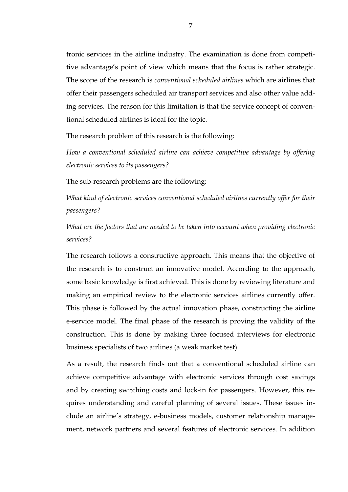tronic services in the airline industry. The examination is done from competitive advantage's point of view which means that the focus is rather strategic. The scope of the research is *conventional scheduled airlines* which are airlines that offer their passengers scheduled air transport services and also other value adding services. The reason for this limitation is that the service concept of conventional scheduled airlines is ideal for the topic.

The research problem of this research is the following:

*How a conventional scheduled airline can achieve competitive advantage by offering electronic services to its passengers?* 

The sub-research problems are the following:

*What kind of electronic services conventional scheduled airlines currently offer for their passengers?* 

*What are the factors that are needed to be taken into account when providing electronic services?* 

The research follows a constructive approach. This means that the objective of the research is to construct an innovative model. According to the approach, some basic knowledge is first achieved. This is done by reviewing literature and making an empirical review to the electronic services airlines currently offer. This phase is followed by the actual innovation phase, constructing the airline e-service model. The final phase of the research is proving the validity of the construction. This is done by making three focused interviews for electronic business specialists of two airlines (a weak market test).

As a result, the research finds out that a conventional scheduled airline can achieve competitive advantage with electronic services through cost savings and by creating switching costs and lock-in for passengers. However, this requires understanding and careful planning of several issues. These issues include an airline's strategy, e-business models, customer relationship management, network partners and several features of electronic services. In addition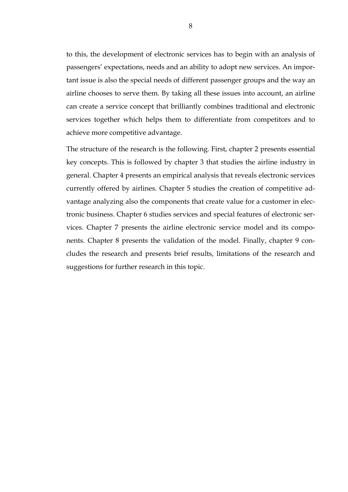to this, the development of electronic services has to begin with an analysis of passengers' expectations, needs and an ability to adopt new services. An important issue is also the special needs of different passenger groups and the way an airline chooses to serve them. By taking all these issues into account, an airline can create a service concept that brilliantly combines traditional and electronic services together which helps them to differentiate from competitors and to achieve more competitive advantage.

The structure of the research is the following. First, chapter 2 presents essential key concepts. This is followed by chapter 3 that studies the airline industry in general. Chapter 4 presents an empirical analysis that reveals electronic services currently offered by airlines. Chapter 5 studies the creation of competitive advantage analyzing also the components that create value for a customer in electronic business. Chapter 6 studies services and special features of electronic services. Chapter 7 presents the airline electronic service model and its components. Chapter 8 presents the validation of the model. Finally, chapter 9 concludes the research and presents brief results, limitations of the research and suggestions for further research in this topic.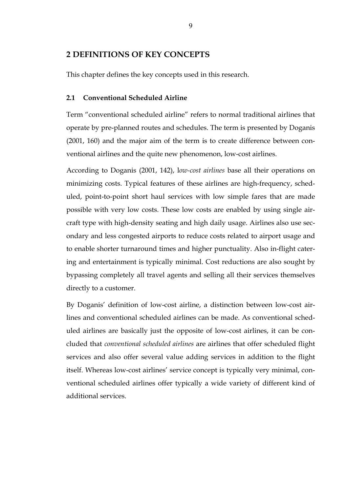# **2 DEFINITIONS OF KEY CONCEPTS**

This chapter defines the key concepts used in this research.

### **2.1 Conventional Scheduled Airline**

Term "conventional scheduled airline" refers to normal traditional airlines that operate by pre-planned routes and schedules. The term is presented by Doganis (2001, 160) and the major aim of the term is to create difference between conventional airlines and the quite new phenomenon, low-cost airlines.

According to Doganis (2001, 142), l*ow-cost airlines* base all their operations on minimizing costs. Typical features of these airlines are high-frequency, scheduled, point-to-point short haul services with low simple fares that are made possible with very low costs. These low costs are enabled by using single aircraft type with high-density seating and high daily usage. Airlines also use secondary and less congested airports to reduce costs related to airport usage and to enable shorter turnaround times and higher punctuality. Also in-flight catering and entertainment is typically minimal. Cost reductions are also sought by bypassing completely all travel agents and selling all their services themselves directly to a customer.

By Doganis' definition of low-cost airline, a distinction between low-cost airlines and conventional scheduled airlines can be made. As conventional scheduled airlines are basically just the opposite of low-cost airlines, it can be concluded that *conventional scheduled airlines* are airlines that offer scheduled flight services and also offer several value adding services in addition to the flight itself. Whereas low-cost airlines' service concept is typically very minimal, conventional scheduled airlines offer typically a wide variety of different kind of additional services.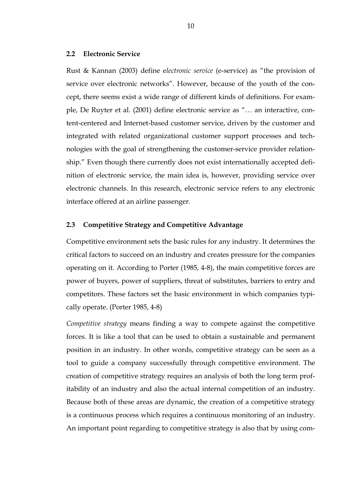#### **2.2 Electronic Service**

Rust & Kannan (2003) define e*lectronic service* (e-service) as "the provision of service over electronic networks". However, because of the youth of the concept, there seems exist a wide range of different kinds of definitions. For example, De Ruyter et al. (2001) define electronic service as "… an interactive, content-centered and Internet-based customer service, driven by the customer and integrated with related organizational customer support processes and technologies with the goal of strengthening the customer-service provider relationship." Even though there currently does not exist internationally accepted definition of electronic service, the main idea is, however, providing service over electronic channels. In this research, electronic service refers to any electronic interface offered at an airline passenger.

#### **2.3 Competitive Strategy and Competitive Advantage**

Competitive environment sets the basic rules for any industry. It determines the critical factors to succeed on an industry and creates pressure for the companies operating on it. According to Porter (1985, 4-8), the main competitive forces are power of buyers, power of suppliers, threat of substitutes, barriers to entry and competitors. These factors set the basic environment in which companies typically operate. (Porter 1985, 4-8)

*Competitive strategy* means finding a way to compete against the competitive forces. It is like a tool that can be used to obtain a sustainable and permanent position in an industry. In other words, competitive strategy can be seen as a tool to guide a company successfully through competitive environment. The creation of competitive strategy requires an analysis of both the long term profitability of an industry and also the actual internal competition of an industry. Because both of these areas are dynamic, the creation of a competitive strategy is a continuous process which requires a continuous monitoring of an industry. An important point regarding to competitive strategy is also that by using com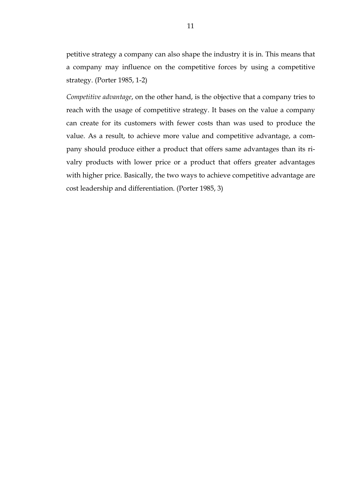petitive strategy a company can also shape the industry it is in. This means that a company may influence on the competitive forces by using a competitive strategy. (Porter 1985, 1-2)

*Competitive advantage*, on the other hand, is the objective that a company tries to reach with the usage of competitive strategy. It bases on the value a company can create for its customers with fewer costs than was used to produce the value. As a result, to achieve more value and competitive advantage, a company should produce either a product that offers same advantages than its rivalry products with lower price or a product that offers greater advantages with higher price. Basically, the two ways to achieve competitive advantage are cost leadership and differentiation. (Porter 1985, 3)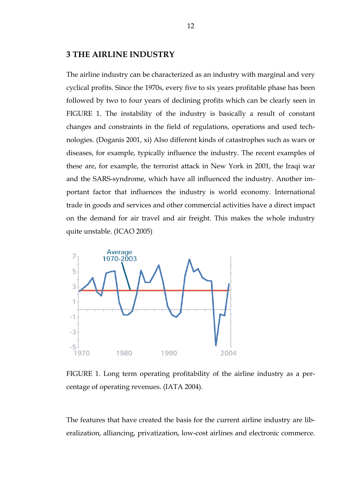### **3 THE AIRLINE INDUSTRY**

The airline industry can be characterized as an industry with marginal and very cyclical profits. Since the 1970s, every five to six years profitable phase has been followed by two to four years of declining profits which can be clearly seen in FIGURE 1. The instability of the industry is basically a result of constant changes and constraints in the field of regulations, operations and used technologies. (Doganis 2001, xi) Also different kinds of catastrophes such as wars or diseases, for example, typically influence the industry. The recent examples of these are, for example, the terrorist attack in New York in 2001, the Iraqi war and the SARS-syndrome, which have all influenced the industry. Another important factor that influences the industry is world economy. International trade in goods and services and other commercial activities have a direct impact on the demand for air travel and air freight. This makes the whole industry quite unstable. (ICAO 2005)



FIGURE 1. Long term operating profitability of the airline industry as a percentage of operating revenues. (IATA 2004).

The features that have created the basis for the current airline industry are liberalization, alliancing, privatization, low-cost airlines and electronic commerce.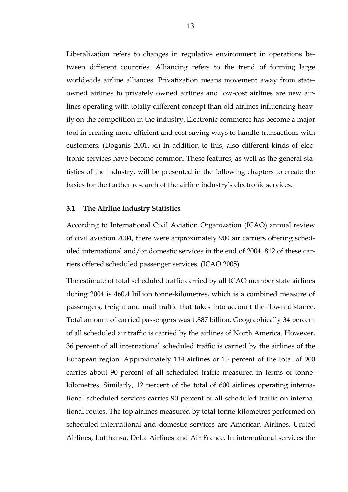Liberalization refers to changes in regulative environment in operations between different countries. Alliancing refers to the trend of forming large worldwide airline alliances. Privatization means movement away from stateowned airlines to privately owned airlines and low-cost airlines are new airlines operating with totally different concept than old airlines influencing heavily on the competition in the industry. Electronic commerce has become a major tool in creating more efficient and cost saving ways to handle transactions with customers. (Doganis 2001, xi) In addition to this, also different kinds of electronic services have become common. These features, as well as the general statistics of the industry, will be presented in the following chapters to create the basics for the further research of the airline industry's electronic services.

#### **3.1 The Airline Industry Statistics**

According to International Civil Aviation Organization (ICAO) annual review of civil aviation 2004, there were approximately 900 air carriers offering scheduled international and/or domestic services in the end of 2004. 812 of these carriers offered scheduled passenger services. (ICAO 2005)

The estimate of total scheduled traffic carried by all ICAO member state airlines during 2004 is 460,4 billion tonne-kilometres, which is a combined measure of passengers, freight and mail traffic that takes into account the flown distance. Total amount of carried passengers was 1,887 billion. Geographically 34 percent of all scheduled air traffic is carried by the airlines of North America. However, 36 percent of all international scheduled traffic is carried by the airlines of the European region. Approximately 114 airlines or 13 percent of the total of 900 carries about 90 percent of all scheduled traffic measured in terms of tonnekilometres. Similarly, 12 percent of the total of 600 airlines operating international scheduled services carries 90 percent of all scheduled traffic on international routes. The top airlines measured by total tonne-kilometres performed on scheduled international and domestic services are American Airlines, United Airlines, Lufthansa, Delta Airlines and Air France. In international services the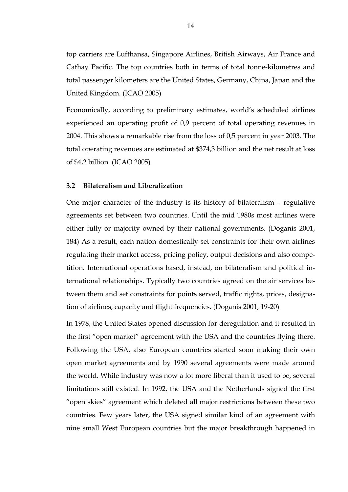top carriers are Lufthansa, Singapore Airlines, British Airways, Air France and Cathay Pacific. The top countries both in terms of total tonne-kilometres and total passenger kilometers are the United States, Germany, China, Japan and the United Kingdom. (ICAO 2005)

Economically, according to preliminary estimates, world's scheduled airlines experienced an operating profit of 0,9 percent of total operating revenues in 2004. This shows a remarkable rise from the loss of 0,5 percent in year 2003. The total operating revenues are estimated at \$374,3 billion and the net result at loss of \$4,2 billion. (ICAO 2005)

#### **3.2 Bilateralism and Liberalization**

One major character of the industry is its history of bilateralism – regulative agreements set between two countries. Until the mid 1980s most airlines were either fully or majority owned by their national governments. (Doganis 2001, 184) As a result, each nation domestically set constraints for their own airlines regulating their market access, pricing policy, output decisions and also competition. International operations based, instead, on bilateralism and political international relationships. Typically two countries agreed on the air services between them and set constraints for points served, traffic rights, prices, designation of airlines, capacity and flight frequencies. (Doganis 2001, 19-20)

In 1978, the United States opened discussion for deregulation and it resulted in the first "open market" agreement with the USA and the countries flying there. Following the USA, also European countries started soon making their own open market agreements and by 1990 several agreements were made around the world. While industry was now a lot more liberal than it used to be, several limitations still existed. In 1992, the USA and the Netherlands signed the first "open skies" agreement which deleted all major restrictions between these two countries. Few years later, the USA signed similar kind of an agreement with nine small West European countries but the major breakthrough happened in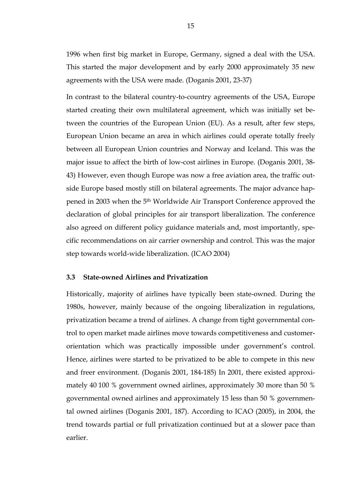1996 when first big market in Europe, Germany, signed a deal with the USA. This started the major development and by early 2000 approximately 35 new agreements with the USA were made. (Doganis 2001, 23-37)

In contrast to the bilateral country-to-country agreements of the USA, Europe started creating their own multilateral agreement, which was initially set between the countries of the European Union (EU). As a result, after few steps, European Union became an area in which airlines could operate totally freely between all European Union countries and Norway and Iceland. This was the major issue to affect the birth of low-cost airlines in Europe. (Doganis 2001, 38- 43) However, even though Europe was now a free aviation area, the traffic outside Europe based mostly still on bilateral agreements. The major advance happened in 2003 when the 5th Worldwide Air Transport Conference approved the declaration of global principles for air transport liberalization. The conference also agreed on different policy guidance materials and, most importantly, specific recommendations on air carrier ownership and control. This was the major step towards world-wide liberalization. (ICAO 2004)

#### **3.3 State-owned Airlines and Privatization**

Historically, majority of airlines have typically been state-owned. During the 1980s, however, mainly because of the ongoing liberalization in regulations, privatization became a trend of airlines. A change from tight governmental control to open market made airlines move towards competitiveness and customerorientation which was practically impossible under government's control. Hence, airlines were started to be privatized to be able to compete in this new and freer environment. (Doganis 2001, 184-185) In 2001, there existed approximately 40 100 % government owned airlines, approximately 30 more than 50 % governmental owned airlines and approximately 15 less than 50 % governmental owned airlines (Doganis 2001, 187). According to ICAO (2005), in 2004, the trend towards partial or full privatization continued but at a slower pace than earlier.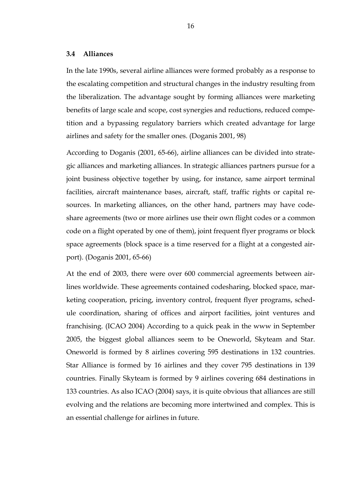#### **3.4 Alliances**

In the late 1990s, several airline alliances were formed probably as a response to the escalating competition and structural changes in the industry resulting from the liberalization. The advantage sought by forming alliances were marketing benefits of large scale and scope, cost synergies and reductions, reduced competition and a bypassing regulatory barriers which created advantage for large airlines and safety for the smaller ones. (Doganis 2001, 98)

According to Doganis (2001, 65-66), airline alliances can be divided into strategic alliances and marketing alliances. In strategic alliances partners pursue for a joint business objective together by using, for instance, same airport terminal facilities, aircraft maintenance bases, aircraft, staff, traffic rights or capital resources. In marketing alliances, on the other hand, partners may have codeshare agreements (two or more airlines use their own flight codes or a common code on a flight operated by one of them), joint frequent flyer programs or block space agreements (block space is a time reserved for a flight at a congested airport). (Doganis 2001, 65-66)

At the end of 2003, there were over 600 commercial agreements between airlines worldwide. These agreements contained codesharing, blocked space, marketing cooperation, pricing, inventory control, frequent flyer programs, schedule coordination, sharing of offices and airport facilities, joint ventures and franchising. (ICAO 2004) According to a quick peak in the www in September 2005, the biggest global alliances seem to be Oneworld, Skyteam and Star. Oneworld is formed by 8 airlines covering 595 destinations in 132 countries. Star Alliance is formed by 16 airlines and they cover 795 destinations in 139 countries. Finally Skyteam is formed by 9 airlines covering 684 destinations in 133 countries. As also ICAO (2004) says, it is quite obvious that alliances are still evolving and the relations are becoming more intertwined and complex. This is an essential challenge for airlines in future.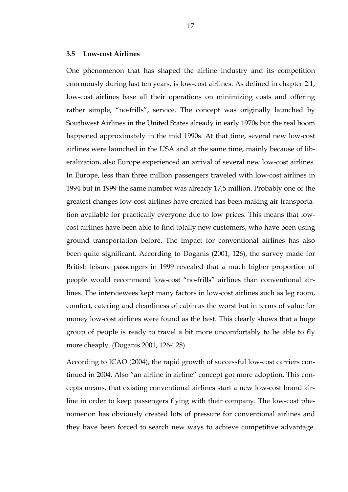#### **3.5 Low-cost Airlines**

One phenomenon that has shaped the airline industry and its competition enormously during last ten years, is low-cost airlines. As defined in chapter 2.1, low-cost airlines base all their operations on minimizing costs and offering rather simple, "no-frills", service. The concept was originally launched by Southwest Airlines in the United States already in early 1970s but the real boom happened approximately in the mid 1990s. At that time, several new low-cost airlines were launched in the USA and at the same time, mainly because of liberalization, also Europe experienced an arrival of several new low-cost airlines. In Europe, less than three million passengers traveled with low-cost airlines in 1994 but in 1999 the same number was already 17,5 million. Probably one of the greatest changes low-cost airlines have created has been making air transportation available for practically everyone due to low prices. This means that lowcost airlines have been able to find totally new customers, who have been using ground transportation before. The impact for conventional airlines has also been quite significant. According to Doganis (2001, 126), the survey made for British leisure passengers in 1999 revealed that a much higher proportion of people would recommend low-cost "no-frills" airlines than conventional airlines. The interviewees kept many factors in low-cost airlines such as leg room, comfort, catering and cleanliness of cabin as the worst but in terms of value for money low-cost airlines were found as the best. This clearly shows that a huge group of people is ready to travel a bit more uncomfortably to be able to fly more cheaply. (Doganis 2001, 126-128)

According to ICAO (2004), the rapid growth of successful low-cost carriers continued in 2004. Also "an airline in airline" concept got more adoption. This concepts means, that existing conventional airlines start a new low-cost brand airline in order to keep passengers flying with their company. The low-cost phenomenon has obviously created lots of pressure for conventional airlines and they have been forced to search new ways to achieve competitive advantage.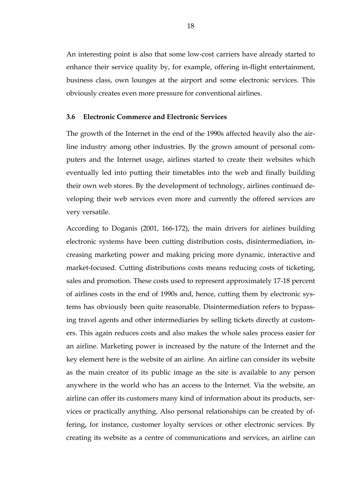An interesting point is also that some low-cost carriers have already started to enhance their service quality by, for example, offering in-flight entertainment, business class, own lounges at the airport and some electronic services. This obviously creates even more pressure for conventional airlines.

#### **3.6 Electronic Commerce and Electronic Services**

The growth of the Internet in the end of the 1990s affected heavily also the airline industry among other industries. By the grown amount of personal computers and the Internet usage, airlines started to create their websites which eventually led into putting their timetables into the web and finally building their own web stores. By the development of technology, airlines continued developing their web services even more and currently the offered services are very versatile.

According to Doganis (2001, 166-172), the main drivers for airlines building electronic systems have been cutting distribution costs, disintermediation, increasing marketing power and making pricing more dynamic, interactive and market-focused. Cutting distributions costs means reducing costs of ticketing, sales and promotion. These costs used to represent approximately 17-18 percent of airlines costs in the end of 1990s and, hence, cutting them by electronic systems has obviously been quite reasonable. Disintermediation refers to bypassing travel agents and other intermediaries by selling tickets directly at customers. This again reduces costs and also makes the whole sales process easier for an airline. Marketing power is increased by the nature of the Internet and the key element here is the website of an airline. An airline can consider its website as the main creator of its public image as the site is available to any person anywhere in the world who has an access to the Internet. Via the website, an airline can offer its customers many kind of information about its products, services or practically anything. Also personal relationships can be created by offering, for instance, customer loyalty services or other electronic services. By creating its website as a centre of communications and services, an airline can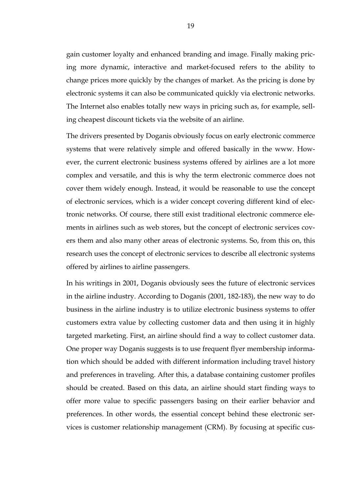gain customer loyalty and enhanced branding and image. Finally making pricing more dynamic, interactive and market-focused refers to the ability to change prices more quickly by the changes of market. As the pricing is done by electronic systems it can also be communicated quickly via electronic networks. The Internet also enables totally new ways in pricing such as, for example, selling cheapest discount tickets via the website of an airline.

The drivers presented by Doganis obviously focus on early electronic commerce systems that were relatively simple and offered basically in the www. However, the current electronic business systems offered by airlines are a lot more complex and versatile, and this is why the term electronic commerce does not cover them widely enough. Instead, it would be reasonable to use the concept of electronic services, which is a wider concept covering different kind of electronic networks. Of course, there still exist traditional electronic commerce elements in airlines such as web stores, but the concept of electronic services covers them and also many other areas of electronic systems. So, from this on, this research uses the concept of electronic services to describe all electronic systems offered by airlines to airline passengers.

In his writings in 2001, Doganis obviously sees the future of electronic services in the airline industry. According to Doganis (2001, 182-183), the new way to do business in the airline industry is to utilize electronic business systems to offer customers extra value by collecting customer data and then using it in highly targeted marketing. First, an airline should find a way to collect customer data. One proper way Doganis suggests is to use frequent flyer membership information which should be added with different information including travel history and preferences in traveling. After this, a database containing customer profiles should be created. Based on this data, an airline should start finding ways to offer more value to specific passengers basing on their earlier behavior and preferences. In other words, the essential concept behind these electronic services is customer relationship management (CRM). By focusing at specific cus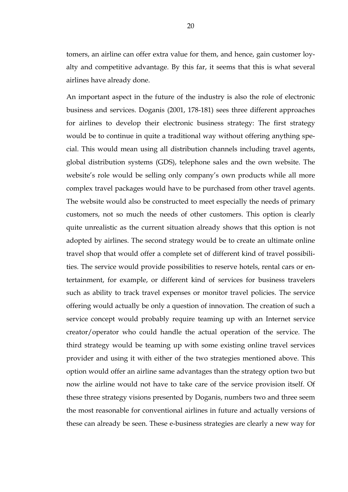tomers, an airline can offer extra value for them, and hence, gain customer loyalty and competitive advantage. By this far, it seems that this is what several airlines have already done.

An important aspect in the future of the industry is also the role of electronic business and services. Doganis (2001, 178-181) sees three different approaches for airlines to develop their electronic business strategy: The first strategy would be to continue in quite a traditional way without offering anything special. This would mean using all distribution channels including travel agents, global distribution systems (GDS), telephone sales and the own website. The website's role would be selling only company's own products while all more complex travel packages would have to be purchased from other travel agents. The website would also be constructed to meet especially the needs of primary customers, not so much the needs of other customers. This option is clearly quite unrealistic as the current situation already shows that this option is not adopted by airlines. The second strategy would be to create an ultimate online travel shop that would offer a complete set of different kind of travel possibilities. The service would provide possibilities to reserve hotels, rental cars or entertainment, for example, or different kind of services for business travelers such as ability to track travel expenses or monitor travel policies. The service offering would actually be only a question of innovation. The creation of such a service concept would probably require teaming up with an Internet service creator/operator who could handle the actual operation of the service. The third strategy would be teaming up with some existing online travel services provider and using it with either of the two strategies mentioned above. This option would offer an airline same advantages than the strategy option two but now the airline would not have to take care of the service provision itself. Of these three strategy visions presented by Doganis, numbers two and three seem the most reasonable for conventional airlines in future and actually versions of these can already be seen. These e-business strategies are clearly a new way for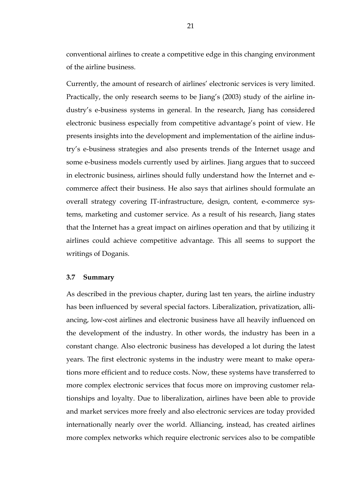conventional airlines to create a competitive edge in this changing environment of the airline business.

Currently, the amount of research of airlines' electronic services is very limited. Practically, the only research seems to be Jiang's (2003) study of the airline industry's e-business systems in general. In the research, Jiang has considered electronic business especially from competitive advantage's point of view. He presents insights into the development and implementation of the airline industry's e-business strategies and also presents trends of the Internet usage and some e-business models currently used by airlines. Jiang argues that to succeed in electronic business, airlines should fully understand how the Internet and ecommerce affect their business. He also says that airlines should formulate an overall strategy covering IT-infrastructure, design, content, e-commerce systems, marketing and customer service. As a result of his research, Jiang states that the Internet has a great impact on airlines operation and that by utilizing it airlines could achieve competitive advantage. This all seems to support the writings of Doganis.

#### **3.7 Summary**

As described in the previous chapter, during last ten years, the airline industry has been influenced by several special factors. Liberalization, privatization, alliancing, low-cost airlines and electronic business have all heavily influenced on the development of the industry. In other words, the industry has been in a constant change. Also electronic business has developed a lot during the latest years. The first electronic systems in the industry were meant to make operations more efficient and to reduce costs. Now, these systems have transferred to more complex electronic services that focus more on improving customer relationships and loyalty. Due to liberalization, airlines have been able to provide and market services more freely and also electronic services are today provided internationally nearly over the world. Alliancing, instead, has created airlines more complex networks which require electronic services also to be compatible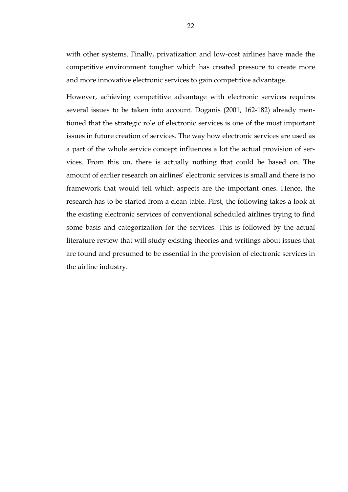with other systems. Finally, privatization and low-cost airlines have made the competitive environment tougher which has created pressure to create more and more innovative electronic services to gain competitive advantage.

However, achieving competitive advantage with electronic services requires several issues to be taken into account. Doganis (2001, 162-182) already mentioned that the strategic role of electronic services is one of the most important issues in future creation of services. The way how electronic services are used as a part of the whole service concept influences a lot the actual provision of services. From this on, there is actually nothing that could be based on. The amount of earlier research on airlines' electronic services is small and there is no framework that would tell which aspects are the important ones. Hence, the research has to be started from a clean table. First, the following takes a look at the existing electronic services of conventional scheduled airlines trying to find some basis and categorization for the services. This is followed by the actual literature review that will study existing theories and writings about issues that are found and presumed to be essential in the provision of electronic services in the airline industry.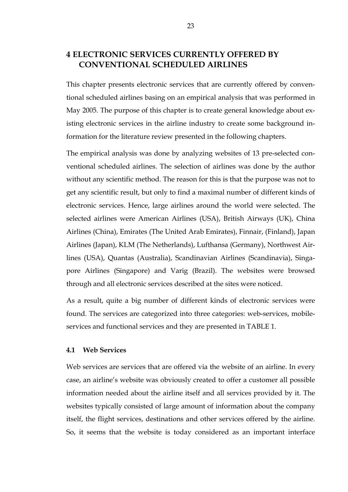# **4 ELECTRONIC SERVICES CURRENTLY OFFERED BY CONVENTIONAL SCHEDULED AIRLINES**

This chapter presents electronic services that are currently offered by conventional scheduled airlines basing on an empirical analysis that was performed in May 2005. The purpose of this chapter is to create general knowledge about existing electronic services in the airline industry to create some background information for the literature review presented in the following chapters.

The empirical analysis was done by analyzing websites of 13 pre-selected conventional scheduled airlines. The selection of airlines was done by the author without any scientific method. The reason for this is that the purpose was not to get any scientific result, but only to find a maximal number of different kinds of electronic services. Hence, large airlines around the world were selected. The selected airlines were American Airlines (USA), British Airways (UK), China Airlines (China), Emirates (The United Arab Emirates), Finnair, (Finland), Japan Airlines (Japan), KLM (The Netherlands), Lufthansa (Germany), Northwest Airlines (USA), Quantas (Australia), Scandinavian Airlines (Scandinavia), Singapore Airlines (Singapore) and Varig (Brazil). The websites were browsed through and all electronic services described at the sites were noticed.

As a result, quite a big number of different kinds of electronic services were found. The services are categorized into three categories: web-services, mobileservices and functional services and they are presented in TABLE 1.

#### **4.1 Web Services**

Web services are services that are offered via the website of an airline. In every case, an airline's website was obviously created to offer a customer all possible information needed about the airline itself and all services provided by it. The websites typically consisted of large amount of information about the company itself, the flight services, destinations and other services offered by the airline. So, it seems that the website is today considered as an important interface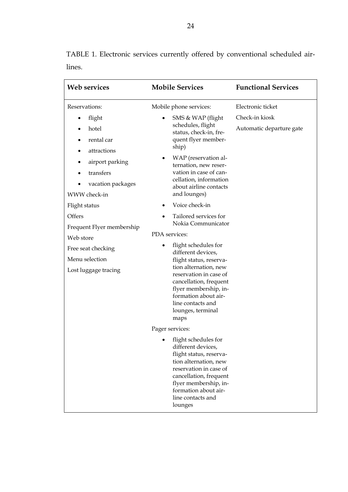| Web services                                                                                      | <b>Mobile Services</b>                                                                                                                                                                                                                                | <b>Functional Services</b>                 |
|---------------------------------------------------------------------------------------------------|-------------------------------------------------------------------------------------------------------------------------------------------------------------------------------------------------------------------------------------------------------|--------------------------------------------|
| Reservations:                                                                                     | Mobile phone services:                                                                                                                                                                                                                                | Electronic ticket                          |
| flight<br>hotel<br>rental car<br>attractions<br>airport parking<br>transfers<br>vacation packages | SMS & WAP (flight<br>schedules, flight<br>status, check-in, fre-<br>quent flyer member-<br>ship)<br>WAP (reservation al-<br>ternation, new reser-<br>vation in case of can-<br>cellation, information<br>about airline contacts                       | Check-in kiosk<br>Automatic departure gate |
| WWW check-in                                                                                      | and lounges)                                                                                                                                                                                                                                          |                                            |
| Flight status<br>Offers                                                                           | Voice check-in<br>Tailored services for                                                                                                                                                                                                               |                                            |
| Frequent Flyer membership<br>Web store                                                            | Nokia Communicator<br>PDA services:                                                                                                                                                                                                                   |                                            |
| Free seat checking<br>Menu selection<br>Lost luggage tracing                                      | flight schedules for<br>different devices,<br>flight status, reserva-<br>tion alternation, new<br>reservation in case of<br>cancellation, frequent<br>flyer membership, in-<br>formation about air-<br>line contacts and<br>lounges, terminal<br>maps |                                            |
|                                                                                                   | Pager services:                                                                                                                                                                                                                                       |                                            |
|                                                                                                   | flight schedules for<br>different devices,<br>flight status, reserva-<br>tion alternation, new<br>reservation in case of<br>cancellation, frequent<br>flyer membership, in-<br>formation about air-<br>line contacts and<br>lounges                   |                                            |

TABLE 1. Electronic services currently offered by conventional scheduled airlines.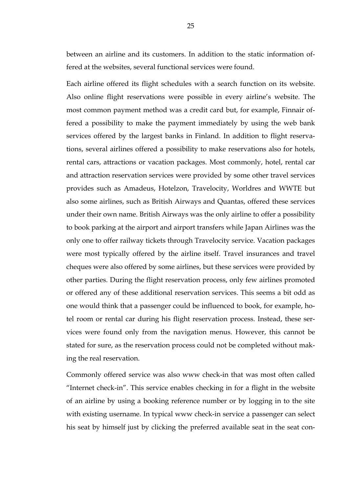between an airline and its customers. In addition to the static information offered at the websites, several functional services were found.

Each airline offered its flight schedules with a search function on its website. Also online flight reservations were possible in every airline's website. The most common payment method was a credit card but, for example, Finnair offered a possibility to make the payment immediately by using the web bank services offered by the largest banks in Finland. In addition to flight reservations, several airlines offered a possibility to make reservations also for hotels, rental cars, attractions or vacation packages. Most commonly, hotel, rental car and attraction reservation services were provided by some other travel services provides such as Amadeus, Hotelzon, Travelocity, Worldres and WWTE but also some airlines, such as British Airways and Quantas, offered these services under their own name. British Airways was the only airline to offer a possibility to book parking at the airport and airport transfers while Japan Airlines was the only one to offer railway tickets through Travelocity service. Vacation packages were most typically offered by the airline itself. Travel insurances and travel cheques were also offered by some airlines, but these services were provided by other parties. During the flight reservation process, only few airlines promoted or offered any of these additional reservation services. This seems a bit odd as one would think that a passenger could be influenced to book, for example, hotel room or rental car during his flight reservation process. Instead, these services were found only from the navigation menus. However, this cannot be stated for sure, as the reservation process could not be completed without making the real reservation.

Commonly offered service was also www check-in that was most often called "Internet check-in". This service enables checking in for a flight in the website of an airline by using a booking reference number or by logging in to the site with existing username. In typical www check-in service a passenger can select his seat by himself just by clicking the preferred available seat in the seat con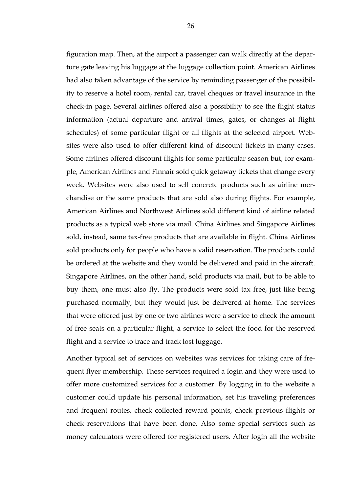figuration map. Then, at the airport a passenger can walk directly at the departure gate leaving his luggage at the luggage collection point. American Airlines had also taken advantage of the service by reminding passenger of the possibility to reserve a hotel room, rental car, travel cheques or travel insurance in the check-in page. Several airlines offered also a possibility to see the flight status information (actual departure and arrival times, gates, or changes at flight schedules) of some particular flight or all flights at the selected airport. Websites were also used to offer different kind of discount tickets in many cases. Some airlines offered discount flights for some particular season but, for example, American Airlines and Finnair sold quick getaway tickets that change every week. Websites were also used to sell concrete products such as airline merchandise or the same products that are sold also during flights. For example, American Airlines and Northwest Airlines sold different kind of airline related products as a typical web store via mail. China Airlines and Singapore Airlines sold, instead, same tax-free products that are available in flight. China Airlines sold products only for people who have a valid reservation. The products could be ordered at the website and they would be delivered and paid in the aircraft. Singapore Airlines, on the other hand, sold products via mail, but to be able to buy them, one must also fly. The products were sold tax free, just like being purchased normally, but they would just be delivered at home. The services that were offered just by one or two airlines were a service to check the amount of free seats on a particular flight, a service to select the food for the reserved flight and a service to trace and track lost luggage.

Another typical set of services on websites was services for taking care of frequent flyer membership. These services required a login and they were used to offer more customized services for a customer. By logging in to the website a customer could update his personal information, set his traveling preferences and frequent routes, check collected reward points, check previous flights or check reservations that have been done. Also some special services such as money calculators were offered for registered users. After login all the website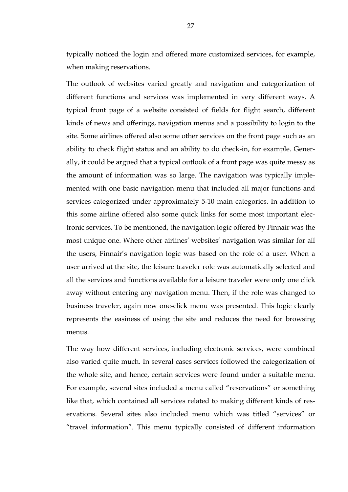typically noticed the login and offered more customized services, for example, when making reservations.

The outlook of websites varied greatly and navigation and categorization of different functions and services was implemented in very different ways. A typical front page of a website consisted of fields for flight search, different kinds of news and offerings, navigation menus and a possibility to login to the site. Some airlines offered also some other services on the front page such as an ability to check flight status and an ability to do check-in, for example. Generally, it could be argued that a typical outlook of a front page was quite messy as the amount of information was so large. The navigation was typically implemented with one basic navigation menu that included all major functions and services categorized under approximately 5-10 main categories. In addition to this some airline offered also some quick links for some most important electronic services. To be mentioned, the navigation logic offered by Finnair was the most unique one. Where other airlines' websites' navigation was similar for all the users, Finnair's navigation logic was based on the role of a user. When a user arrived at the site, the leisure traveler role was automatically selected and all the services and functions available for a leisure traveler were only one click away without entering any navigation menu. Then, if the role was changed to business traveler, again new one-click menu was presented. This logic clearly represents the easiness of using the site and reduces the need for browsing menus.

The way how different services, including electronic services, were combined also varied quite much. In several cases services followed the categorization of the whole site, and hence, certain services were found under a suitable menu. For example, several sites included a menu called "reservations" or something like that, which contained all services related to making different kinds of reservations. Several sites also included menu which was titled "services" or "travel information". This menu typically consisted of different information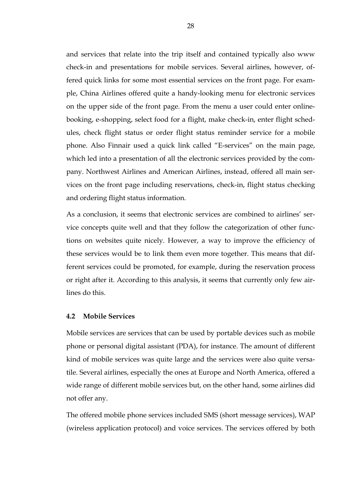and services that relate into the trip itself and contained typically also www check-in and presentations for mobile services. Several airlines, however, offered quick links for some most essential services on the front page. For example, China Airlines offered quite a handy-looking menu for electronic services on the upper side of the front page. From the menu a user could enter onlinebooking, e-shopping, select food for a flight, make check-in, enter flight schedules, check flight status or order flight status reminder service for a mobile phone. Also Finnair used a quick link called "E-services" on the main page, which led into a presentation of all the electronic services provided by the company. Northwest Airlines and American Airlines, instead, offered all main services on the front page including reservations, check-in, flight status checking and ordering flight status information.

As a conclusion, it seems that electronic services are combined to airlines' service concepts quite well and that they follow the categorization of other functions on websites quite nicely. However, a way to improve the efficiency of these services would be to link them even more together. This means that different services could be promoted, for example, during the reservation process or right after it. According to this analysis, it seems that currently only few airlines do this.

#### **4.2 Mobile Services**

Mobile services are services that can be used by portable devices such as mobile phone or personal digital assistant (PDA), for instance. The amount of different kind of mobile services was quite large and the services were also quite versatile. Several airlines, especially the ones at Europe and North America, offered a wide range of different mobile services but, on the other hand, some airlines did not offer any.

The offered mobile phone services included SMS (short message services), WAP (wireless application protocol) and voice services. The services offered by both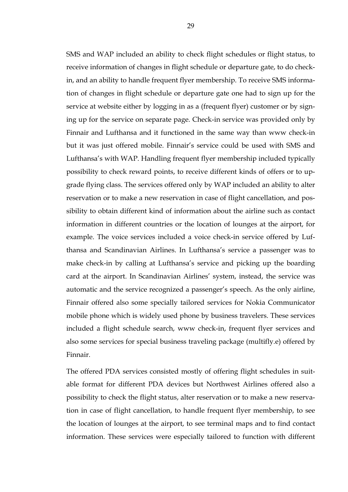SMS and WAP included an ability to check flight schedules or flight status, to receive information of changes in flight schedule or departure gate, to do checkin, and an ability to handle frequent flyer membership. To receive SMS information of changes in flight schedule or departure gate one had to sign up for the service at website either by logging in as a (frequent flyer) customer or by signing up for the service on separate page. Check-in service was provided only by Finnair and Lufthansa and it functioned in the same way than www check-in but it was just offered mobile. Finnair's service could be used with SMS and Lufthansa's with WAP. Handling frequent flyer membership included typically possibility to check reward points, to receive different kinds of offers or to upgrade flying class. The services offered only by WAP included an ability to alter reservation or to make a new reservation in case of flight cancellation, and possibility to obtain different kind of information about the airline such as contact information in different countries or the location of lounges at the airport, for example. The voice services included a voice check-in service offered by Lufthansa and Scandinavian Airlines. In Lufthansa's service a passenger was to make check-in by calling at Lufthansa's service and picking up the boarding card at the airport. In Scandinavian Airlines' system, instead, the service was automatic and the service recognized a passenger's speech. As the only airline, Finnair offered also some specially tailored services for Nokia Communicator mobile phone which is widely used phone by business travelers. These services included a flight schedule search, www check-in, frequent flyer services and also some services for special business traveling package (multifly.e) offered by Finnair.

The offered PDA services consisted mostly of offering flight schedules in suitable format for different PDA devices but Northwest Airlines offered also a possibility to check the flight status, alter reservation or to make a new reservation in case of flight cancellation, to handle frequent flyer membership, to see the location of lounges at the airport, to see terminal maps and to find contact information. These services were especially tailored to function with different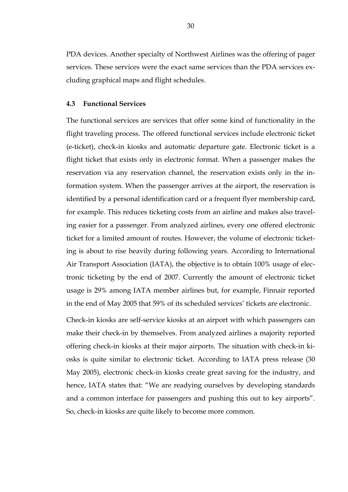PDA devices. Another specialty of Northwest Airlines was the offering of pager services. These services were the exact same services than the PDA services excluding graphical maps and flight schedules.

#### **4.3 Functional Services**

The functional services are services that offer some kind of functionality in the flight traveling process. The offered functional services include electronic ticket (e-ticket), check-in kiosks and automatic departure gate. Electronic ticket is a flight ticket that exists only in electronic format. When a passenger makes the reservation via any reservation channel, the reservation exists only in the information system. When the passenger arrives at the airport, the reservation is identified by a personal identification card or a frequent flyer membership card, for example. This reduces ticketing costs from an airline and makes also traveling easier for a passenger. From analyzed airlines, every one offered electronic ticket for a limited amount of routes. However, the volume of electronic ticketing is about to rise heavily during following years. According to International Air Transport Association (IATA), the objective is to obtain 100% usage of electronic ticketing by the end of 2007. Currently the amount of electronic ticket usage is 29% among IATA member airlines but, for example, Finnair reported in the end of May 2005 that 59% of its scheduled services' tickets are electronic.

Check-in kiosks are self-service kiosks at an airport with which passengers can make their check-in by themselves. From analyzed airlines a majority reported offering check-in kiosks at their major airports. The situation with check-in kiosks is quite similar to electronic ticket. According to IATA press release (30 May 2005), electronic check-in kiosks create great saving for the industry, and hence, IATA states that: "We are readying ourselves by developing standards and a common interface for passengers and pushing this out to key airports". So, check-in kiosks are quite likely to become more common.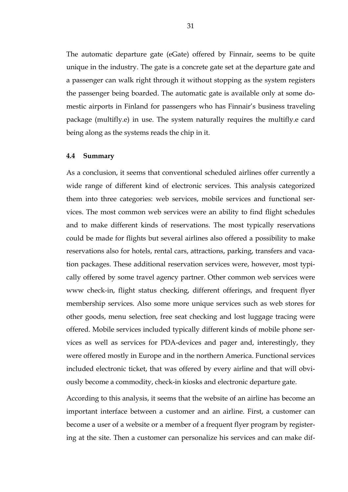The automatic departure gate (eGate) offered by Finnair, seems to be quite unique in the industry. The gate is a concrete gate set at the departure gate and a passenger can walk right through it without stopping as the system registers the passenger being boarded. The automatic gate is available only at some domestic airports in Finland for passengers who has Finnair's business traveling package (multifly.e) in use. The system naturally requires the multifly.e card being along as the systems reads the chip in it.

#### **4.4 Summary**

As a conclusion, it seems that conventional scheduled airlines offer currently a wide range of different kind of electronic services. This analysis categorized them into three categories: web services, mobile services and functional services. The most common web services were an ability to find flight schedules and to make different kinds of reservations. The most typically reservations could be made for flights but several airlines also offered a possibility to make reservations also for hotels, rental cars, attractions, parking, transfers and vacation packages. These additional reservation services were, however, most typically offered by some travel agency partner. Other common web services were www check-in, flight status checking, different offerings, and frequent flyer membership services. Also some more unique services such as web stores for other goods, menu selection, free seat checking and lost luggage tracing were offered. Mobile services included typically different kinds of mobile phone services as well as services for PDA-devices and pager and, interestingly, they were offered mostly in Europe and in the northern America. Functional services included electronic ticket, that was offered by every airline and that will obviously become a commodity, check-in kiosks and electronic departure gate.

According to this analysis, it seems that the website of an airline has become an important interface between a customer and an airline. First, a customer can become a user of a website or a member of a frequent flyer program by registering at the site. Then a customer can personalize his services and can make dif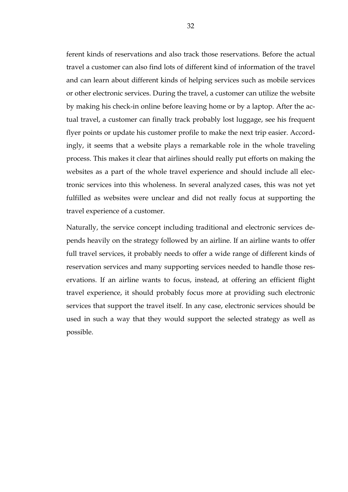ferent kinds of reservations and also track those reservations. Before the actual travel a customer can also find lots of different kind of information of the travel and can learn about different kinds of helping services such as mobile services or other electronic services. During the travel, a customer can utilize the website by making his check-in online before leaving home or by a laptop. After the actual travel, a customer can finally track probably lost luggage, see his frequent flyer points or update his customer profile to make the next trip easier. Accordingly, it seems that a website plays a remarkable role in the whole traveling process. This makes it clear that airlines should really put efforts on making the websites as a part of the whole travel experience and should include all electronic services into this wholeness. In several analyzed cases, this was not yet fulfilled as websites were unclear and did not really focus at supporting the travel experience of a customer.

Naturally, the service concept including traditional and electronic services depends heavily on the strategy followed by an airline. If an airline wants to offer full travel services, it probably needs to offer a wide range of different kinds of reservation services and many supporting services needed to handle those reservations. If an airline wants to focus, instead, at offering an efficient flight travel experience, it should probably focus more at providing such electronic services that support the travel itself. In any case, electronic services should be used in such a way that they would support the selected strategy as well as possible.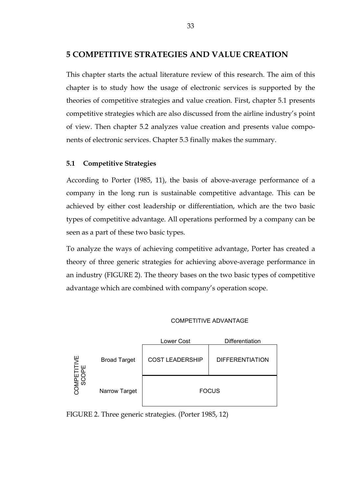### **5 COMPETITIVE STRATEGIES AND VALUE CREATION**

This chapter starts the actual literature review of this research. The aim of this chapter is to study how the usage of electronic services is supported by the theories of competitive strategies and value creation. First, chapter 5.1 presents competitive strategies which are also discussed from the airline industry's point of view. Then chapter 5.2 analyzes value creation and presents value components of electronic services. Chapter 5.3 finally makes the summary.

### **5.1 Competitive Strategies**

According to Porter (1985, 11), the basis of above-average performance of a company in the long run is sustainable competitive advantage. This can be achieved by either cost leadership or differentiation, which are the two basic types of competitive advantage. All operations performed by a company can be seen as a part of these two basic types.

To analyze the ways of achieving competitive advantage, Porter has created a theory of three generic strategies for achieving above-average performance in an industry (FIGURE 2). The theory bases on the two basic types of competitive advantage which are combined with company's operation scope.

#### COMPETITIVE ADVANTAGE



FIGURE 2. Three generic strategies. (Porter 1985, 12)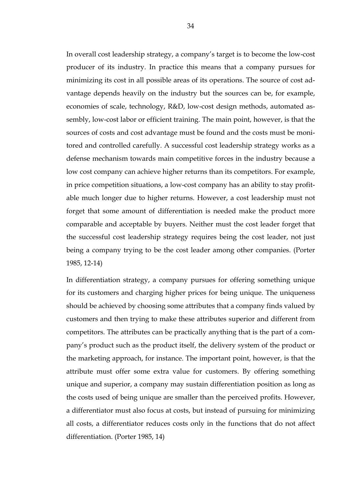In overall cost leadership strategy, a company's target is to become the low-cost producer of its industry. In practice this means that a company pursues for minimizing its cost in all possible areas of its operations. The source of cost advantage depends heavily on the industry but the sources can be, for example, economies of scale, technology, R&D, low-cost design methods, automated assembly, low-cost labor or efficient training. The main point, however, is that the sources of costs and cost advantage must be found and the costs must be monitored and controlled carefully. A successful cost leadership strategy works as a defense mechanism towards main competitive forces in the industry because a low cost company can achieve higher returns than its competitors. For example, in price competition situations, a low-cost company has an ability to stay profitable much longer due to higher returns. However, a cost leadership must not forget that some amount of differentiation is needed make the product more comparable and acceptable by buyers. Neither must the cost leader forget that the successful cost leadership strategy requires being the cost leader, not just being a company trying to be the cost leader among other companies. (Porter 1985, 12-14)

In differentiation strategy, a company pursues for offering something unique for its customers and charging higher prices for being unique. The uniqueness should be achieved by choosing some attributes that a company finds valued by customers and then trying to make these attributes superior and different from competitors. The attributes can be practically anything that is the part of a company's product such as the product itself, the delivery system of the product or the marketing approach, for instance. The important point, however, is that the attribute must offer some extra value for customers. By offering something unique and superior, a company may sustain differentiation position as long as the costs used of being unique are smaller than the perceived profits. However, a differentiator must also focus at costs, but instead of pursuing for minimizing all costs, a differentiator reduces costs only in the functions that do not affect differentiation. (Porter 1985, 14)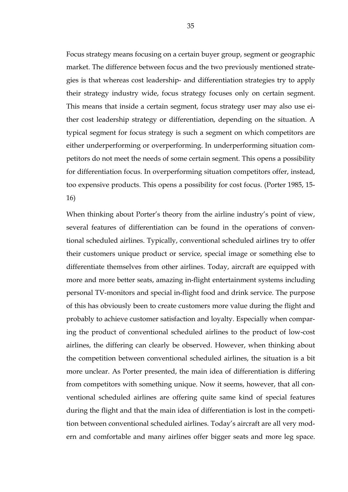Focus strategy means focusing on a certain buyer group, segment or geographic market. The difference between focus and the two previously mentioned strategies is that whereas cost leadership- and differentiation strategies try to apply their strategy industry wide, focus strategy focuses only on certain segment. This means that inside a certain segment, focus strategy user may also use either cost leadership strategy or differentiation, depending on the situation. A typical segment for focus strategy is such a segment on which competitors are either underperforming or overperforming. In underperforming situation competitors do not meet the needs of some certain segment. This opens a possibility for differentiation focus. In overperforming situation competitors offer, instead, too expensive products. This opens a possibility for cost focus. (Porter 1985, 15- 16)

When thinking about Porter's theory from the airline industry's point of view, several features of differentiation can be found in the operations of conventional scheduled airlines. Typically, conventional scheduled airlines try to offer their customers unique product or service, special image or something else to differentiate themselves from other airlines. Today, aircraft are equipped with more and more better seats, amazing in-flight entertainment systems including personal TV-monitors and special in-flight food and drink service. The purpose of this has obviously been to create customers more value during the flight and probably to achieve customer satisfaction and loyalty. Especially when comparing the product of conventional scheduled airlines to the product of low-cost airlines, the differing can clearly be observed. However, when thinking about the competition between conventional scheduled airlines, the situation is a bit more unclear. As Porter presented, the main idea of differentiation is differing from competitors with something unique. Now it seems, however, that all conventional scheduled airlines are offering quite same kind of special features during the flight and that the main idea of differentiation is lost in the competition between conventional scheduled airlines. Today's aircraft are all very modern and comfortable and many airlines offer bigger seats and more leg space.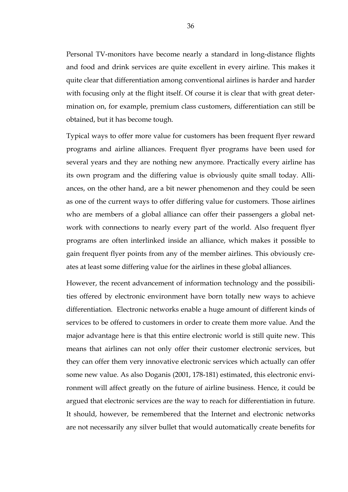Personal TV-monitors have become nearly a standard in long-distance flights and food and drink services are quite excellent in every airline. This makes it quite clear that differentiation among conventional airlines is harder and harder with focusing only at the flight itself. Of course it is clear that with great determination on, for example, premium class customers, differentiation can still be obtained, but it has become tough.

Typical ways to offer more value for customers has been frequent flyer reward programs and airline alliances. Frequent flyer programs have been used for several years and they are nothing new anymore. Practically every airline has its own program and the differing value is obviously quite small today. Alliances, on the other hand, are a bit newer phenomenon and they could be seen as one of the current ways to offer differing value for customers. Those airlines who are members of a global alliance can offer their passengers a global network with connections to nearly every part of the world. Also frequent flyer programs are often interlinked inside an alliance, which makes it possible to gain frequent flyer points from any of the member airlines. This obviously creates at least some differing value for the airlines in these global alliances.

However, the recent advancement of information technology and the possibilities offered by electronic environment have born totally new ways to achieve differentiation. Electronic networks enable a huge amount of different kinds of services to be offered to customers in order to create them more value. And the major advantage here is that this entire electronic world is still quite new. This means that airlines can not only offer their customer electronic services, but they can offer them very innovative electronic services which actually can offer some new value. As also Doganis (2001, 178-181) estimated, this electronic environment will affect greatly on the future of airline business. Hence, it could be argued that electronic services are the way to reach for differentiation in future. It should, however, be remembered that the Internet and electronic networks are not necessarily any silver bullet that would automatically create benefits for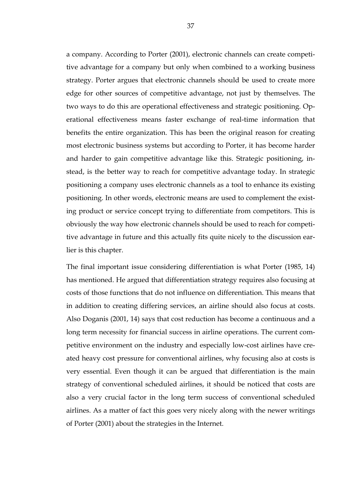a company. According to Porter (2001), electronic channels can create competitive advantage for a company but only when combined to a working business strategy. Porter argues that electronic channels should be used to create more edge for other sources of competitive advantage, not just by themselves. The two ways to do this are operational effectiveness and strategic positioning. Operational effectiveness means faster exchange of real-time information that benefits the entire organization. This has been the original reason for creating most electronic business systems but according to Porter, it has become harder and harder to gain competitive advantage like this. Strategic positioning, instead, is the better way to reach for competitive advantage today. In strategic positioning a company uses electronic channels as a tool to enhance its existing positioning. In other words, electronic means are used to complement the existing product or service concept trying to differentiate from competitors. This is obviously the way how electronic channels should be used to reach for competitive advantage in future and this actually fits quite nicely to the discussion earlier is this chapter.

The final important issue considering differentiation is what Porter (1985, 14) has mentioned. He argued that differentiation strategy requires also focusing at costs of those functions that do not influence on differentiation. This means that in addition to creating differing services, an airline should also focus at costs. Also Doganis (2001, 14) says that cost reduction has become a continuous and a long term necessity for financial success in airline operations. The current competitive environment on the industry and especially low-cost airlines have created heavy cost pressure for conventional airlines, why focusing also at costs is very essential. Even though it can be argued that differentiation is the main strategy of conventional scheduled airlines, it should be noticed that costs are also a very crucial factor in the long term success of conventional scheduled airlines. As a matter of fact this goes very nicely along with the newer writings of Porter (2001) about the strategies in the Internet.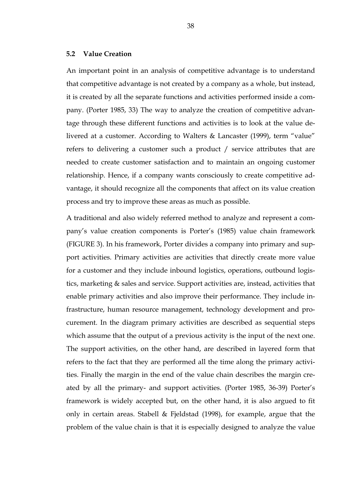### **5.2 Value Creation**

An important point in an analysis of competitive advantage is to understand that competitive advantage is not created by a company as a whole, but instead, it is created by all the separate functions and activities performed inside a company. (Porter 1985, 33) The way to analyze the creation of competitive advantage through these different functions and activities is to look at the value delivered at a customer. According to Walters & Lancaster (1999), term "value" refers to delivering a customer such a product / service attributes that are needed to create customer satisfaction and to maintain an ongoing customer relationship. Hence, if a company wants consciously to create competitive advantage, it should recognize all the components that affect on its value creation process and try to improve these areas as much as possible.

A traditional and also widely referred method to analyze and represent a company's value creation components is Porter's (1985) value chain framework (FIGURE 3). In his framework, Porter divides a company into primary and support activities. Primary activities are activities that directly create more value for a customer and they include inbound logistics, operations, outbound logistics, marketing & sales and service. Support activities are, instead, activities that enable primary activities and also improve their performance. They include infrastructure, human resource management, technology development and procurement. In the diagram primary activities are described as sequential steps which assume that the output of a previous activity is the input of the next one. The support activities, on the other hand, are described in layered form that refers to the fact that they are performed all the time along the primary activities. Finally the margin in the end of the value chain describes the margin created by all the primary- and support activities. (Porter 1985, 36-39) Porter's framework is widely accepted but, on the other hand, it is also argued to fit only in certain areas. Stabell & Fjeldstad (1998), for example, argue that the problem of the value chain is that it is especially designed to analyze the value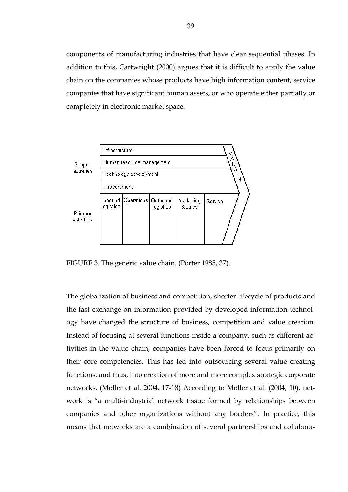components of manufacturing industries that have clear sequential phases. In addition to this, Cartwright (2000) argues that it is difficult to apply the value chain on the companies whose products have high information content, service companies that have significant human assets, or who operate either partially or completely in electronic market space.



FIGURE 3. The generic value chain. (Porter 1985, 37).

The globalization of business and competition, shorter lifecycle of products and the fast exchange on information provided by developed information technology have changed the structure of business, competition and value creation. Instead of focusing at several functions inside a company, such as different activities in the value chain, companies have been forced to focus primarily on their core competencies. This has led into outsourcing several value creating functions, and thus, into creation of more and more complex strategic corporate networks. (Möller et al. 2004, 17-18) According to Möller et al. (2004, 10), network is "a multi-industrial network tissue formed by relationships between companies and other organizations without any borders". In practice, this means that networks are a combination of several partnerships and collabora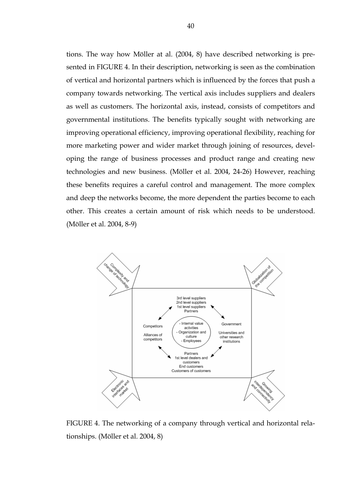tions. The way how Möller at al. (2004, 8) have described networking is presented in FIGURE 4. In their description, networking is seen as the combination of vertical and horizontal partners which is influenced by the forces that push a company towards networking. The vertical axis includes suppliers and dealers as well as customers. The horizontal axis, instead, consists of competitors and governmental institutions. The benefits typically sought with networking are improving operational efficiency, improving operational flexibility, reaching for more marketing power and wider market through joining of resources, developing the range of business processes and product range and creating new technologies and new business. (Möller et al. 2004, 24-26) However, reaching these benefits requires a careful control and management. The more complex and deep the networks become, the more dependent the parties become to each other. This creates a certain amount of risk which needs to be understood. (Möller et al. 2004, 8-9)



FIGURE 4. The networking of a company through vertical and horizontal relationships. (Möller et al. 2004, 8)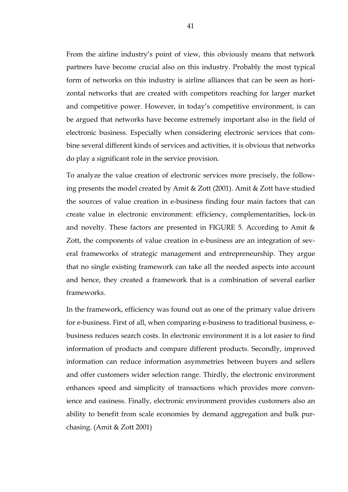From the airline industry's point of view, this obviously means that network partners have become crucial also on this industry. Probably the most typical form of networks on this industry is airline alliances that can be seen as horizontal networks that are created with competitors reaching for larger market and competitive power. However, in today's competitive environment, is can be argued that networks have become extremely important also in the field of electronic business. Especially when considering electronic services that combine several different kinds of services and activities, it is obvious that networks do play a significant role in the service provision.

To analyze the value creation of electronic services more precisely, the following presents the model created by Amit & Zott (2001). Amit & Zott have studied the sources of value creation in e-business finding four main factors that can create value in electronic environment: efficiency, complementarities, lock-in and novelty. These factors are presented in FIGURE 5. According to Amit & Zott, the components of value creation in e-business are an integration of several frameworks of strategic management and entrepreneurship. They argue that no single existing framework can take all the needed aspects into account and hence, they created a framework that is a combination of several earlier frameworks.

In the framework, efficiency was found out as one of the primary value drivers for e-business. First of all, when comparing e-business to traditional business, ebusiness reduces search costs. In electronic environment it is a lot easier to find information of products and compare different products. Secondly, improved information can reduce information asymmetries between buyers and sellers and offer customers wider selection range. Thirdly, the electronic environment enhances speed and simplicity of transactions which provides more convenience and easiness. Finally, electronic environment provides customers also an ability to benefit from scale economies by demand aggregation and bulk purchasing. (Amit & Zott 2001)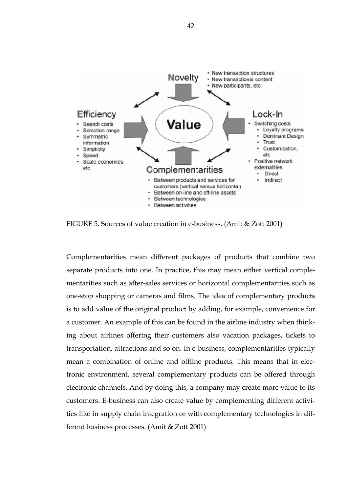

FIGURE 5. Sources of value creation in e-business. (Amit & Zott 2001)

Complementarities mean different packages of products that combine two separate products into one. In practice, this may mean either vertical complementarities such as after-sales services or horizontal complementarities such as one-stop shopping or cameras and films. The idea of complementary products is to add value of the original product by adding, for example, convenience for a customer. An example of this can be found in the airline industry when thinking about airlines offering their customers also vacation packages, tickets to transportation, attractions and so on. In e-business, complementarities typically mean a combination of online and offline products. This means that in electronic environment, several complementary products can be offered through electronic channels. And by doing this, a company may create more value to its customers. E-business can also create value by complementing different activities like in supply chain integration or with complementary technologies in different business processes. (Amit & Zott 2001)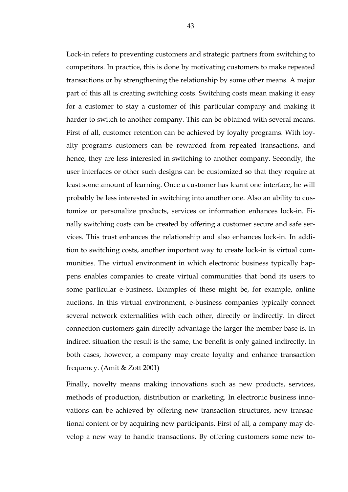Lock-in refers to preventing customers and strategic partners from switching to competitors. In practice, this is done by motivating customers to make repeated transactions or by strengthening the relationship by some other means. A major part of this all is creating switching costs. Switching costs mean making it easy for a customer to stay a customer of this particular company and making it harder to switch to another company. This can be obtained with several means. First of all, customer retention can be achieved by loyalty programs. With loyalty programs customers can be rewarded from repeated transactions, and hence, they are less interested in switching to another company. Secondly, the user interfaces or other such designs can be customized so that they require at least some amount of learning. Once a customer has learnt one interface, he will probably be less interested in switching into another one. Also an ability to customize or personalize products, services or information enhances lock-in. Finally switching costs can be created by offering a customer secure and safe services. This trust enhances the relationship and also enhances lock-in. In addition to switching costs, another important way to create lock-in is virtual communities. The virtual environment in which electronic business typically happens enables companies to create virtual communities that bond its users to some particular e-business. Examples of these might be, for example, online auctions. In this virtual environment, e-business companies typically connect several network externalities with each other, directly or indirectly. In direct connection customers gain directly advantage the larger the member base is. In indirect situation the result is the same, the benefit is only gained indirectly. In both cases, however, a company may create loyalty and enhance transaction frequency. (Amit & Zott 2001)

Finally, novelty means making innovations such as new products, services, methods of production, distribution or marketing. In electronic business innovations can be achieved by offering new transaction structures, new transactional content or by acquiring new participants. First of all, a company may develop a new way to handle transactions. By offering customers some new to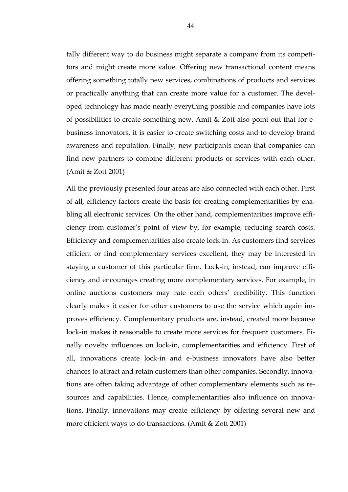tally different way to do business might separate a company from its competitors and might create more value. Offering new transactional content means offering something totally new services, combinations of products and services or practically anything that can create more value for a customer. The developed technology has made nearly everything possible and companies have lots of possibilities to create something new. Amit & Zott also point out that for ebusiness innovators, it is easier to create switching costs and to develop brand awareness and reputation. Finally, new participants mean that companies can find new partners to combine different products or services with each other. (Amit & Zott 2001)

All the previously presented four areas are also connected with each other. First of all, efficiency factors create the basis for creating complementarities by enabling all electronic services. On the other hand, complementarities improve efficiency from customer's point of view by, for example, reducing search costs. Efficiency and complementarities also create lock-in. As customers find services efficient or find complementary services excellent, they may be interested in staying a customer of this particular firm. Lock-in, instead, can improve efficiency and encourages creating more complementary services. For example, in online auctions customers may rate each others' credibility. This function clearly makes it easier for other customers to use the service which again improves efficiency. Complementary products are, instead, created more because lock-in makes it reasonable to create more services for frequent customers. Finally novelty influences on lock-in, complementarities and efficiency. First of all, innovations create lock-in and e-business innovators have also better chances to attract and retain customers than other companies. Secondly, innovations are often taking advantage of other complementary elements such as resources and capabilities. Hence, complementarities also influence on innovations. Finally, innovations may create efficiency by offering several new and more efficient ways to do transactions. (Amit & Zott 2001)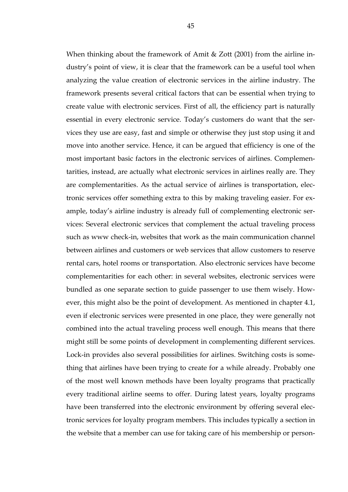When thinking about the framework of Amit & Zott (2001) from the airline industry's point of view, it is clear that the framework can be a useful tool when analyzing the value creation of electronic services in the airline industry. The framework presents several critical factors that can be essential when trying to create value with electronic services. First of all, the efficiency part is naturally essential in every electronic service. Today's customers do want that the services they use are easy, fast and simple or otherwise they just stop using it and move into another service. Hence, it can be argued that efficiency is one of the most important basic factors in the electronic services of airlines. Complementarities, instead, are actually what electronic services in airlines really are. They are complementarities. As the actual service of airlines is transportation, electronic services offer something extra to this by making traveling easier. For example, today's airline industry is already full of complementing electronic services: Several electronic services that complement the actual traveling process such as www check-in, websites that work as the main communication channel between airlines and customers or web services that allow customers to reserve rental cars, hotel rooms or transportation. Also electronic services have become complementarities for each other: in several websites, electronic services were bundled as one separate section to guide passenger to use them wisely. However, this might also be the point of development. As mentioned in chapter 4.1, even if electronic services were presented in one place, they were generally not combined into the actual traveling process well enough. This means that there might still be some points of development in complementing different services. Lock-in provides also several possibilities for airlines. Switching costs is something that airlines have been trying to create for a while already. Probably one of the most well known methods have been loyalty programs that practically every traditional airline seems to offer. During latest years, loyalty programs have been transferred into the electronic environment by offering several electronic services for loyalty program members. This includes typically a section in the website that a member can use for taking care of his membership or person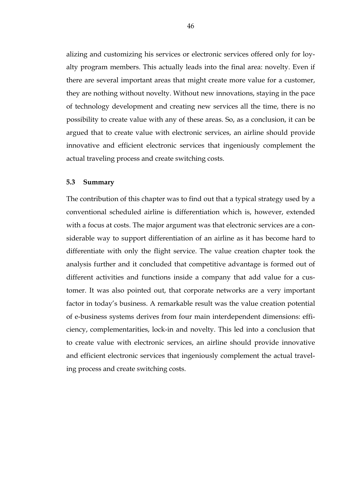alizing and customizing his services or electronic services offered only for loyalty program members. This actually leads into the final area: novelty. Even if there are several important areas that might create more value for a customer, they are nothing without novelty. Without new innovations, staying in the pace of technology development and creating new services all the time, there is no possibility to create value with any of these areas. So, as a conclusion, it can be argued that to create value with electronic services, an airline should provide innovative and efficient electronic services that ingeniously complement the actual traveling process and create switching costs.

### **5.3 Summary**

The contribution of this chapter was to find out that a typical strategy used by a conventional scheduled airline is differentiation which is, however, extended with a focus at costs. The major argument was that electronic services are a considerable way to support differentiation of an airline as it has become hard to differentiate with only the flight service. The value creation chapter took the analysis further and it concluded that competitive advantage is formed out of different activities and functions inside a company that add value for a customer. It was also pointed out, that corporate networks are a very important factor in today's business. A remarkable result was the value creation potential of e-business systems derives from four main interdependent dimensions: efficiency, complementarities, lock-in and novelty. This led into a conclusion that to create value with electronic services, an airline should provide innovative and efficient electronic services that ingeniously complement the actual traveling process and create switching costs.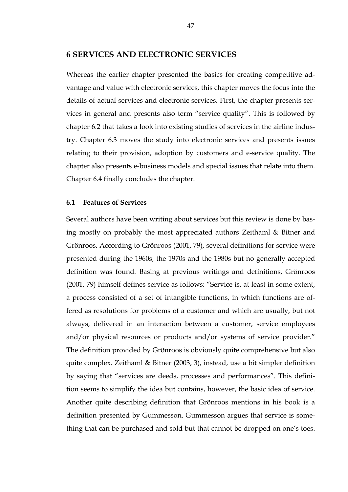# **6 SERVICES AND ELECTRONIC SERVICES**

Whereas the earlier chapter presented the basics for creating competitive advantage and value with electronic services, this chapter moves the focus into the details of actual services and electronic services. First, the chapter presents services in general and presents also term "service quality". This is followed by chapter 6.2 that takes a look into existing studies of services in the airline industry. Chapter 6.3 moves the study into electronic services and presents issues relating to their provision, adoption by customers and e-service quality. The chapter also presents e-business models and special issues that relate into them. Chapter 6.4 finally concludes the chapter.

# **6.1 Features of Services**

Several authors have been writing about services but this review is done by basing mostly on probably the most appreciated authors Zeithaml & Bitner and Grönroos. According to Grönroos (2001, 79), several definitions for service were presented during the 1960s, the 1970s and the 1980s but no generally accepted definition was found. Basing at previous writings and definitions, Grönroos (2001, 79) himself defines service as follows: "Service is, at least in some extent, a process consisted of a set of intangible functions, in which functions are offered as resolutions for problems of a customer and which are usually, but not always, delivered in an interaction between a customer, service employees and/or physical resources or products and/or systems of service provider." The definition provided by Grönroos is obviously quite comprehensive but also quite complex. Zeithaml & Bitner (2003, 3), instead, use a bit simpler definition by saying that "services are deeds, processes and performances". This definition seems to simplify the idea but contains, however, the basic idea of service. Another quite describing definition that Grönroos mentions in his book is a definition presented by Gummesson. Gummesson argues that service is something that can be purchased and sold but that cannot be dropped on one's toes.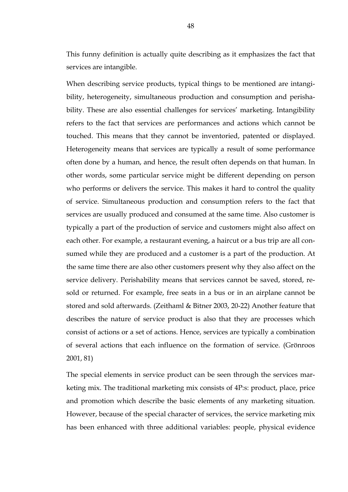This funny definition is actually quite describing as it emphasizes the fact that services are intangible.

When describing service products, typical things to be mentioned are intangibility, heterogeneity, simultaneous production and consumption and perishability. These are also essential challenges for services' marketing. Intangibility refers to the fact that services are performances and actions which cannot be touched. This means that they cannot be inventoried, patented or displayed. Heterogeneity means that services are typically a result of some performance often done by a human, and hence, the result often depends on that human. In other words, some particular service might be different depending on person who performs or delivers the service. This makes it hard to control the quality of service. Simultaneous production and consumption refers to the fact that services are usually produced and consumed at the same time. Also customer is typically a part of the production of service and customers might also affect on each other. For example, a restaurant evening, a haircut or a bus trip are all consumed while they are produced and a customer is a part of the production. At the same time there are also other customers present why they also affect on the service delivery. Perishability means that services cannot be saved, stored, resold or returned. For example, free seats in a bus or in an airplane cannot be stored and sold afterwards. (Zeithaml & Bitner 2003, 20-22) Another feature that describes the nature of service product is also that they are processes which consist of actions or a set of actions. Hence, services are typically a combination of several actions that each influence on the formation of service. (Grönroos 2001, 81)

The special elements in service product can be seen through the services marketing mix. The traditional marketing mix consists of 4P:s: product, place, price and promotion which describe the basic elements of any marketing situation. However, because of the special character of services, the service marketing mix has been enhanced with three additional variables: people, physical evidence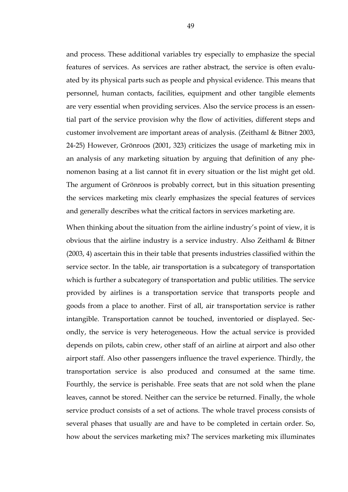and process. These additional variables try especially to emphasize the special features of services. As services are rather abstract, the service is often evaluated by its physical parts such as people and physical evidence. This means that personnel, human contacts, facilities, equipment and other tangible elements are very essential when providing services. Also the service process is an essential part of the service provision why the flow of activities, different steps and customer involvement are important areas of analysis. (Zeithaml & Bitner 2003, 24-25) However, Grönroos (2001, 323) criticizes the usage of marketing mix in an analysis of any marketing situation by arguing that definition of any phenomenon basing at a list cannot fit in every situation or the list might get old. The argument of Grönroos is probably correct, but in this situation presenting the services marketing mix clearly emphasizes the special features of services and generally describes what the critical factors in services marketing are.

When thinking about the situation from the airline industry's point of view, it is obvious that the airline industry is a service industry. Also Zeithaml & Bitner (2003, 4) ascertain this in their table that presents industries classified within the service sector. In the table, air transportation is a subcategory of transportation which is further a subcategory of transportation and public utilities. The service provided by airlines is a transportation service that transports people and goods from a place to another. First of all, air transportation service is rather intangible. Transportation cannot be touched, inventoried or displayed. Secondly, the service is very heterogeneous. How the actual service is provided depends on pilots, cabin crew, other staff of an airline at airport and also other airport staff. Also other passengers influence the travel experience. Thirdly, the transportation service is also produced and consumed at the same time. Fourthly, the service is perishable. Free seats that are not sold when the plane leaves, cannot be stored. Neither can the service be returned. Finally, the whole service product consists of a set of actions. The whole travel process consists of several phases that usually are and have to be completed in certain order. So, how about the services marketing mix? The services marketing mix illuminates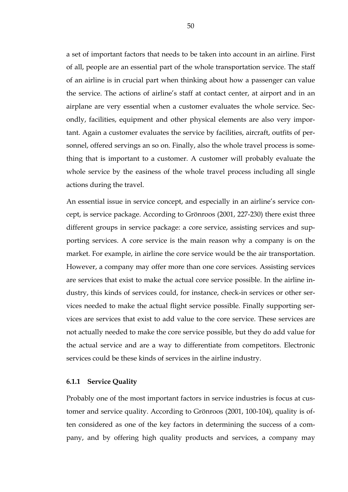a set of important factors that needs to be taken into account in an airline. First of all, people are an essential part of the whole transportation service. The staff of an airline is in crucial part when thinking about how a passenger can value the service. The actions of airline's staff at contact center, at airport and in an airplane are very essential when a customer evaluates the whole service. Secondly, facilities, equipment and other physical elements are also very important. Again a customer evaluates the service by facilities, aircraft, outfits of personnel, offered servings an so on. Finally, also the whole travel process is something that is important to a customer. A customer will probably evaluate the whole service by the easiness of the whole travel process including all single actions during the travel.

An essential issue in service concept, and especially in an airline's service concept, is service package. According to Grönroos (2001, 227-230) there exist three different groups in service package: a core service, assisting services and supporting services. A core service is the main reason why a company is on the market. For example, in airline the core service would be the air transportation. However, a company may offer more than one core services. Assisting services are services that exist to make the actual core service possible. In the airline industry, this kinds of services could, for instance, check-in services or other services needed to make the actual flight service possible. Finally supporting services are services that exist to add value to the core service. These services are not actually needed to make the core service possible, but they do add value for the actual service and are a way to differentiate from competitors. Electronic services could be these kinds of services in the airline industry.

# **6.1.1 Service Quality**

Probably one of the most important factors in service industries is focus at customer and service quality. According to Grönroos (2001, 100-104), quality is often considered as one of the key factors in determining the success of a company, and by offering high quality products and services, a company may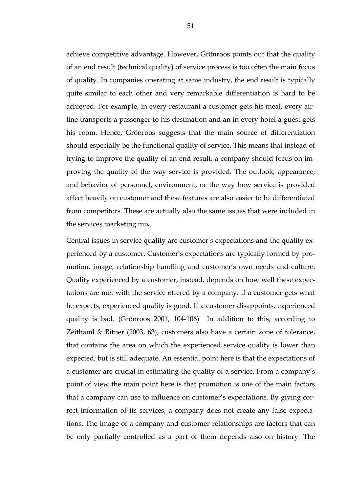achieve competitive advantage. However, Grönroos points out that the quality of an end result (technical quality) of service process is too often the main focus of quality. In companies operating at same industry, the end result is typically quite similar to each other and very remarkable differentiation is hard to be achieved. For example, in every restaurant a customer gets his meal, every airline transports a passenger to his destination and an in every hotel a guest gets his room. Hence, Grönroos suggests that the main source of differentiation should especially be the functional quality of service. This means that instead of trying to improve the quality of an end result, a company should focus on improving the quality of the way service is provided. The outlook, appearance, and behavior of personnel, environment, or the way how service is provided affect heavily on customer and these features are also easier to be differentiated from competitors. These are actually also the same issues that were included in the services marketing mix.

Central issues in service quality are customer's expectations and the quality experienced by a customer. Customer's expectations are typically formed by promotion, image, relationship handling and customer's own needs and culture. Quality experienced by a customer, instead, depends on how well these expectations are met with the service offered by a company. If a customer gets what he expects, experienced quality is good. If a customer disappoints, experienced quality is bad. (Grönroos 2001, 104-106) In addition to this, according to Zeithaml & Bitner (2003, 63), customers also have a certain zone of tolerance, that contains the area on which the experienced service quality is lower than expected, but is still adequate. An essential point here is that the expectations of a customer are crucial in estimating the quality of a service. From a company's point of view the main point here is that promotion is one of the main factors that a company can use to influence on customer's expectations. By giving correct information of its services, a company does not create any false expectations. The image of a company and customer relationships are factors that can be only partially controlled as a part of them depends also on history. The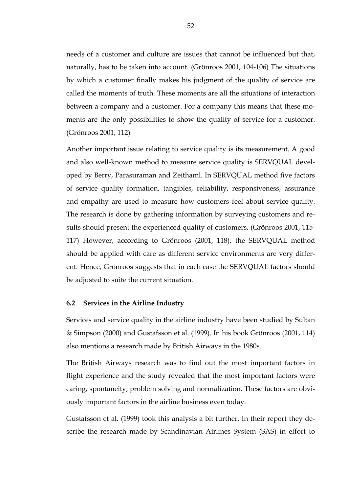needs of a customer and culture are issues that cannot be influenced but that, naturally, has to be taken into account. (Grönroos 2001, 104-106) The situations by which a customer finally makes his judgment of the quality of service are called the moments of truth. These moments are all the situations of interaction between a company and a customer. For a company this means that these moments are the only possibilities to show the quality of service for a customer. (Grönroos 2001, 112)

Another important issue relating to service quality is its measurement. A good and also well-known method to measure service quality is SERVQUAL developed by Berry, Parasuraman and Zeithaml. In SERVQUAL method five factors of service quality formation, tangibles, reliability, responsiveness, assurance and empathy are used to measure how customers feel about service quality. The research is done by gathering information by surveying customers and results should present the experienced quality of customers. (Grönroos 2001, 115- 117) However, according to Grönroos (2001, 118), the SERVQUAL method should be applied with care as different service environments are very different. Hence, Grönroos suggests that in each case the SERVQUAL factors should be adjusted to suite the current situation.

# **6.2 Services in the Airline Industry**

Services and service quality in the airline industry have been studied by Sultan & Simpson (2000) and Gustafsson et al. (1999). In his book Grönroos (2001, 114) also mentions a research made by British Airways in the 1980s.

The British Airways research was to find out the most important factors in flight experience and the study revealed that the most important factors were caring, spontaneity, problem solving and normalization. These factors are obviously important factors in the airline business even today.

Gustafsson et al. (1999) took this analysis a bit further. In their report they describe the research made by Scandinavian Airlines System (SAS) in effort to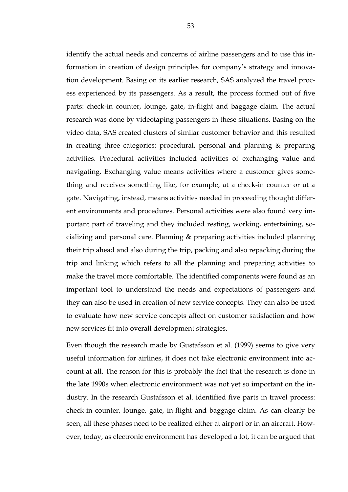identify the actual needs and concerns of airline passengers and to use this information in creation of design principles for company's strategy and innovation development. Basing on its earlier research, SAS analyzed the travel process experienced by its passengers. As a result, the process formed out of five parts: check-in counter, lounge, gate, in-flight and baggage claim. The actual research was done by videotaping passengers in these situations. Basing on the video data, SAS created clusters of similar customer behavior and this resulted in creating three categories: procedural, personal and planning & preparing activities. Procedural activities included activities of exchanging value and navigating. Exchanging value means activities where a customer gives something and receives something like, for example, at a check-in counter or at a gate. Navigating, instead, means activities needed in proceeding thought different environments and procedures. Personal activities were also found very important part of traveling and they included resting, working, entertaining, socializing and personal care. Planning & preparing activities included planning their trip ahead and also during the trip, packing and also repacking during the trip and linking which refers to all the planning and preparing activities to make the travel more comfortable. The identified components were found as an important tool to understand the needs and expectations of passengers and they can also be used in creation of new service concepts. They can also be used to evaluate how new service concepts affect on customer satisfaction and how new services fit into overall development strategies.

Even though the research made by Gustafsson et al. (1999) seems to give very useful information for airlines, it does not take electronic environment into account at all. The reason for this is probably the fact that the research is done in the late 1990s when electronic environment was not yet so important on the industry. In the research Gustafsson et al. identified five parts in travel process: check-in counter, lounge, gate, in-flight and baggage claim. As can clearly be seen, all these phases need to be realized either at airport or in an aircraft. However, today, as electronic environment has developed a lot, it can be argued that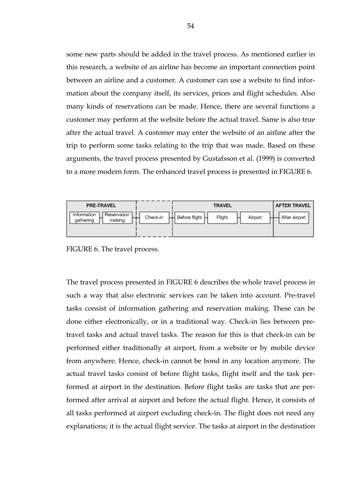some new parts should be added in the travel process. As mentioned earlier in this research, a website of an airline has become an important connection point between an airline and a customer. A customer can use a website to find information about the company itself, its services, prices and flight schedules. Also many kinds of reservations can be made. Hence, there are several functions a customer may perform at the website before the actual travel. Same is also true after the actual travel. A customer may enter the website of an airline after the trip to perform some tasks relating to the trip that was made. Based on these arguments, the travel process presented by Gustafsson et al. (1999) is converted to a more modern form. The enhanced travel process is presented in FIGURE 6.



FIGURE 6. The travel process.

The travel process presented in FIGURE 6 describes the whole travel process in such a way that also electronic services can be taken into account. Pre-travel tasks consist of information gathering and reservation making. These can be done either electronically, or in a traditional way. Check-in lies between pretravel tasks and actual travel tasks. The reason for this is that check-in can be performed either traditionally at airport, from a website or by mobile device from anywhere. Hence, check-in cannot be bond in any location anymore. The actual travel tasks consist of before flight tasks, flight itself and the task performed at airport in the destination. Before flight tasks are tasks that are performed after arrival at airport and before the actual flight. Hence, it consists of all tasks performed at airport excluding check-in. The flight does not need any explanations; it is the actual flight service. The tasks at airport in the destination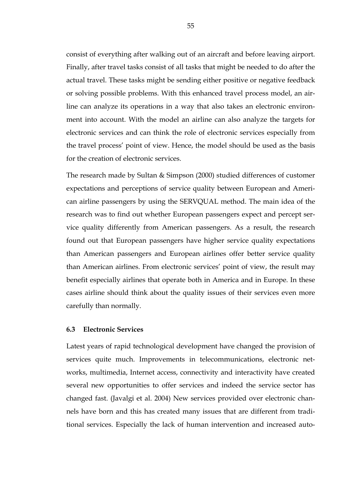consist of everything after walking out of an aircraft and before leaving airport. Finally, after travel tasks consist of all tasks that might be needed to do after the actual travel. These tasks might be sending either positive or negative feedback or solving possible problems. With this enhanced travel process model, an airline can analyze its operations in a way that also takes an electronic environment into account. With the model an airline can also analyze the targets for electronic services and can think the role of electronic services especially from the travel process' point of view. Hence, the model should be used as the basis for the creation of electronic services.

The research made by Sultan & Simpson (2000) studied differences of customer expectations and perceptions of service quality between European and American airline passengers by using the SERVQUAL method. The main idea of the research was to find out whether European passengers expect and percept service quality differently from American passengers. As a result, the research found out that European passengers have higher service quality expectations than American passengers and European airlines offer better service quality than American airlines. From electronic services' point of view, the result may benefit especially airlines that operate both in America and in Europe. In these cases airline should think about the quality issues of their services even more carefully than normally.

# **6.3 Electronic Services**

Latest years of rapid technological development have changed the provision of services quite much. Improvements in telecommunications, electronic networks, multimedia, Internet access, connectivity and interactivity have created several new opportunities to offer services and indeed the service sector has changed fast. (Javalgi et al. 2004) New services provided over electronic channels have born and this has created many issues that are different from traditional services. Especially the lack of human intervention and increased auto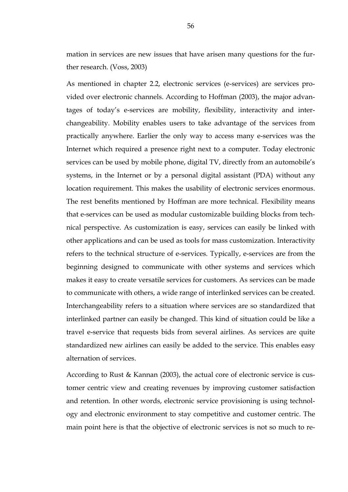mation in services are new issues that have arisen many questions for the further research. (Voss, 2003)

As mentioned in chapter 2.2, electronic services (e-services) are services provided over electronic channels. According to Hoffman (2003), the major advantages of today's e-services are mobility, flexibility, interactivity and interchangeability. Mobility enables users to take advantage of the services from practically anywhere. Earlier the only way to access many e-services was the Internet which required a presence right next to a computer. Today electronic services can be used by mobile phone, digital TV, directly from an automobile's systems, in the Internet or by a personal digital assistant (PDA) without any location requirement. This makes the usability of electronic services enormous. The rest benefits mentioned by Hoffman are more technical. Flexibility means that e-services can be used as modular customizable building blocks from technical perspective. As customization is easy, services can easily be linked with other applications and can be used as tools for mass customization. Interactivity refers to the technical structure of e-services. Typically, e-services are from the beginning designed to communicate with other systems and services which makes it easy to create versatile services for customers. As services can be made to communicate with others, a wide range of interlinked services can be created. Interchangeability refers to a situation where services are so standardized that interlinked partner can easily be changed. This kind of situation could be like a travel e-service that requests bids from several airlines. As services are quite standardized new airlines can easily be added to the service. This enables easy alternation of services.

According to Rust & Kannan (2003), the actual core of electronic service is customer centric view and creating revenues by improving customer satisfaction and retention. In other words, electronic service provisioning is using technology and electronic environment to stay competitive and customer centric. The main point here is that the objective of electronic services is not so much to re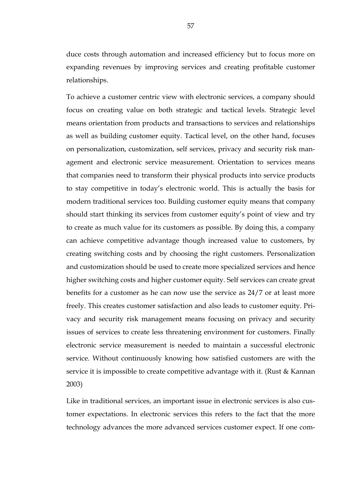duce costs through automation and increased efficiency but to focus more on expanding revenues by improving services and creating profitable customer relationships.

To achieve a customer centric view with electronic services, a company should focus on creating value on both strategic and tactical levels. Strategic level means orientation from products and transactions to services and relationships as well as building customer equity. Tactical level, on the other hand, focuses on personalization, customization, self services, privacy and security risk management and electronic service measurement. Orientation to services means that companies need to transform their physical products into service products to stay competitive in today's electronic world. This is actually the basis for modern traditional services too. Building customer equity means that company should start thinking its services from customer equity's point of view and try to create as much value for its customers as possible. By doing this, a company can achieve competitive advantage though increased value to customers, by creating switching costs and by choosing the right customers. Personalization and customization should be used to create more specialized services and hence higher switching costs and higher customer equity. Self services can create great benefits for a customer as he can now use the service as 24/7 or at least more freely. This creates customer satisfaction and also leads to customer equity. Privacy and security risk management means focusing on privacy and security issues of services to create less threatening environment for customers. Finally electronic service measurement is needed to maintain a successful electronic service. Without continuously knowing how satisfied customers are with the service it is impossible to create competitive advantage with it. (Rust & Kannan 2003)

Like in traditional services, an important issue in electronic services is also customer expectations. In electronic services this refers to the fact that the more technology advances the more advanced services customer expect. If one com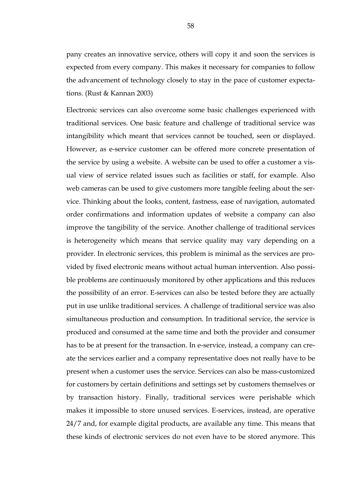pany creates an innovative service, others will copy it and soon the services is expected from every company. This makes it necessary for companies to follow the advancement of technology closely to stay in the pace of customer expectations. (Rust & Kannan 2003)

Electronic services can also overcome some basic challenges experienced with traditional services. One basic feature and challenge of traditional service was intangibility which meant that services cannot be touched, seen or displayed. However, as e-service customer can be offered more concrete presentation of the service by using a website. A website can be used to offer a customer a visual view of service related issues such as facilities or staff, for example. Also web cameras can be used to give customers more tangible feeling about the service. Thinking about the looks, content, fastness, ease of navigation, automated order confirmations and information updates of website a company can also improve the tangibility of the service. Another challenge of traditional services is heterogeneity which means that service quality may vary depending on a provider. In electronic services, this problem is minimal as the services are provided by fixed electronic means without actual human intervention. Also possible problems are continuously monitored by other applications and this reduces the possibility of an error. E-services can also be tested before they are actually put in use unlike traditional services. A challenge of traditional service was also simultaneous production and consumption. In traditional service, the service is produced and consumed at the same time and both the provider and consumer has to be at present for the transaction. In e-service, instead, a company can create the services earlier and a company representative does not really have to be present when a customer uses the service. Services can also be mass-customized for customers by certain definitions and settings set by customers themselves or by transaction history. Finally, traditional services were perishable which makes it impossible to store unused services. E-services, instead, are operative 24/7 and, for example digital products, are available any time. This means that these kinds of electronic services do not even have to be stored anymore. This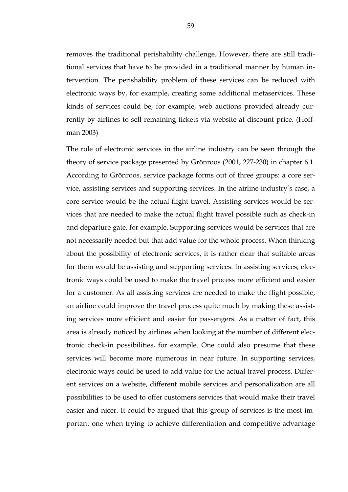removes the traditional perishability challenge. However, there are still traditional services that have to be provided in a traditional manner by human intervention. The perishability problem of these services can be reduced with electronic ways by, for example, creating some additional metaservices. These kinds of services could be, for example, web auctions provided already currently by airlines to sell remaining tickets via website at discount price. (Hoffman 2003)

The role of electronic services in the airline industry can be seen through the theory of service package presented by Grönroos (2001, 227-230) in chapter 6.1. According to Grönroos, service package forms out of three groups: a core service, assisting services and supporting services. In the airline industry's case, a core service would be the actual flight travel. Assisting services would be services that are needed to make the actual flight travel possible such as check-in and departure gate, for example. Supporting services would be services that are not necessarily needed but that add value for the whole process. When thinking about the possibility of electronic services, it is rather clear that suitable areas for them would be assisting and supporting services. In assisting services, electronic ways could be used to make the travel process more efficient and easier for a customer. As all assisting services are needed to make the flight possible, an airline could improve the travel process quite much by making these assisting services more efficient and easier for passengers. As a matter of fact, this area is already noticed by airlines when looking at the number of different electronic check-in possibilities, for example. One could also presume that these services will become more numerous in near future. In supporting services, electronic ways could be used to add value for the actual travel process. Different services on a website, different mobile services and personalization are all possibilities to be used to offer customers services that would make their travel easier and nicer. It could be argued that this group of services is the most important one when trying to achieve differentiation and competitive advantage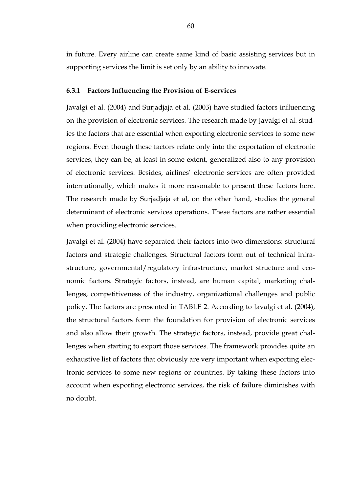in future. Every airline can create same kind of basic assisting services but in supporting services the limit is set only by an ability to innovate.

# **6.3.1 Factors Influencing the Provision of E-services**

Javalgi et al. (2004) and Surjadjaja et al. (2003) have studied factors influencing on the provision of electronic services. The research made by Javalgi et al. studies the factors that are essential when exporting electronic services to some new regions. Even though these factors relate only into the exportation of electronic services, they can be, at least in some extent, generalized also to any provision of electronic services. Besides, airlines' electronic services are often provided internationally, which makes it more reasonable to present these factors here. The research made by Surjadjaja et al, on the other hand, studies the general determinant of electronic services operations. These factors are rather essential when providing electronic services.

Javalgi et al. (2004) have separated their factors into two dimensions: structural factors and strategic challenges. Structural factors form out of technical infrastructure, governmental/regulatory infrastructure, market structure and economic factors. Strategic factors, instead, are human capital, marketing challenges, competitiveness of the industry, organizational challenges and public policy. The factors are presented in TABLE 2. According to Javalgi et al. (2004), the structural factors form the foundation for provision of electronic services and also allow their growth. The strategic factors, instead, provide great challenges when starting to export those services. The framework provides quite an exhaustive list of factors that obviously are very important when exporting electronic services to some new regions or countries. By taking these factors into account when exporting electronic services, the risk of failure diminishes with no doubt.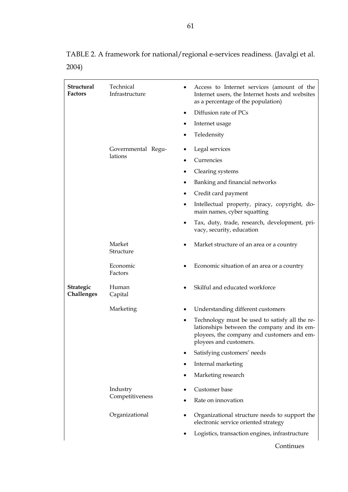TABLE 2. A framework for national/regional e-services readiness. (Javalgi et al. 2004)

| <b>Structural</b><br><b>Factors</b> | Technical<br>Infrastructure |           | Access to Internet services (amount of the<br>Internet users, the Internet hosts and websites<br>as a percentage of the population)                                   |
|-------------------------------------|-----------------------------|-----------|-----------------------------------------------------------------------------------------------------------------------------------------------------------------------|
|                                     |                             | $\bullet$ | Diffusion rate of PCs                                                                                                                                                 |
|                                     |                             | ٠         | Internet usage                                                                                                                                                        |
|                                     |                             | ٠         | Teledensity                                                                                                                                                           |
|                                     | Governmental Regu-          | ٠         | Legal services                                                                                                                                                        |
|                                     | lations                     | $\bullet$ | Currencies                                                                                                                                                            |
|                                     |                             |           | Clearing systems                                                                                                                                                      |
|                                     |                             | $\bullet$ | Banking and financial networks                                                                                                                                        |
|                                     |                             | ٠         | Credit card payment                                                                                                                                                   |
|                                     |                             | $\bullet$ | Intellectual property, piracy, copyright, do-<br>main names, cyber squatting                                                                                          |
|                                     |                             | $\bullet$ | Tax, duty, trade, research, development, pri-<br>vacy, security, education                                                                                            |
|                                     | Market<br>Structure         | $\bullet$ | Market structure of an area or a country                                                                                                                              |
|                                     | Economic<br>Factors         |           | Economic situation of an area or a country                                                                                                                            |
| Strategic<br>Challenges             | Human<br>Capital            |           | Skilful and educated workforce                                                                                                                                        |
|                                     | Marketing                   | $\bullet$ | Understanding different customers                                                                                                                                     |
|                                     |                             | $\bullet$ | Technology must be used to satisfy all the re-<br>lationships between the company and its em-<br>ployees, the company and customers and em-<br>ployees and customers. |
|                                     |                             |           | Satisfying customers' needs                                                                                                                                           |
|                                     |                             |           | Internal marketing                                                                                                                                                    |
|                                     |                             |           | Marketing research                                                                                                                                                    |
|                                     | Industry<br>Competitiveness |           | Customer base                                                                                                                                                         |
|                                     |                             |           | Rate on innovation                                                                                                                                                    |
|                                     | Organizational              |           | Organizational structure needs to support the<br>electronic service oriented strategy                                                                                 |
|                                     |                             |           | Logistics, transaction engines, infrastructure                                                                                                                        |
|                                     |                             |           | Continues                                                                                                                                                             |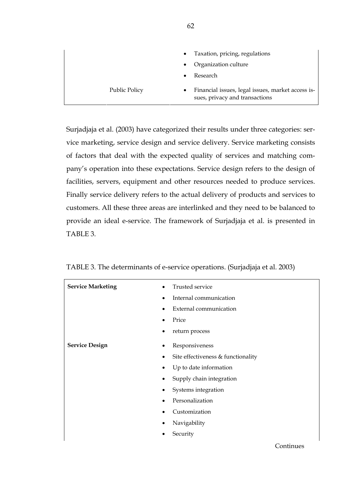|                      | $\bullet$ | Taxation, pricing, regulations                                                      |
|----------------------|-----------|-------------------------------------------------------------------------------------|
|                      | $\bullet$ | Organization culture                                                                |
|                      | $\bullet$ | Research                                                                            |
| <b>Public Policy</b> | $\bullet$ | Financial issues, legal issues, market access is-<br>sues, privacy and transactions |

Surjadjaja et al. (2003) have categorized their results under three categories: service marketing, service design and service delivery. Service marketing consists of factors that deal with the expected quality of services and matching company's operation into these expectations. Service design refers to the design of facilities, servers, equipment and other resources needed to produce services. Finally service delivery refers to the actual delivery of products and services to customers. All these three areas are interlinked and they need to be balanced to provide an ideal e-service. The framework of Surjadjaja et al. is presented in TABLE 3.

| TABLE 3. The determinants of e-service operations. (Surjadjaja et al. 2003) |  |
|-----------------------------------------------------------------------------|--|
|-----------------------------------------------------------------------------|--|

| <b>Service Marketing</b><br>$\bullet$ | Trusted service                    |
|---------------------------------------|------------------------------------|
|                                       | Internal communication             |
|                                       | External communication             |
|                                       | Price                              |
|                                       | return process                     |
| <b>Service Design</b>                 | Responsiveness                     |
|                                       | Site effectiveness & functionality |
|                                       | Up to date information             |
|                                       | Supply chain integration           |
|                                       | Systems integration                |
|                                       | Personalization                    |
|                                       | Customization                      |
|                                       | Navigability                       |
|                                       | Security                           |
|                                       |                                    |

**62**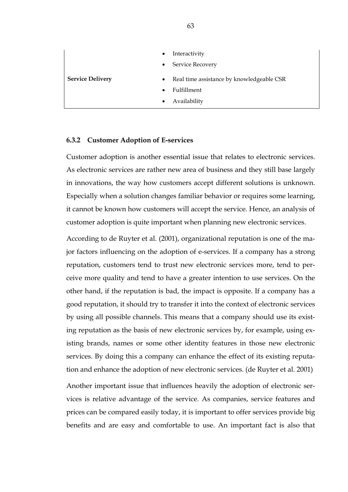| $\bullet$                            | Interactivity                             |
|--------------------------------------|-------------------------------------------|
| $\bullet$                            | Service Recovery                          |
| <b>Service Delivery</b><br>$\bullet$ | Real time assistance by knowledgeable CSR |
| $\bullet$                            | Fulfillment                               |
| $\bullet$                            | Availability                              |

### **6.3.2 Customer Adoption of E-services**

Customer adoption is another essential issue that relates to electronic services. As electronic services are rather new area of business and they still base largely in innovations, the way how customers accept different solutions is unknown. Especially when a solution changes familiar behavior or requires some learning, it cannot be known how customers will accept the service. Hence, an analysis of customer adoption is quite important when planning new electronic services.

According to de Ruyter et al. (2001), organizational reputation is one of the major factors influencing on the adoption of e-services. If a company has a strong reputation, customers tend to trust new electronic services more, tend to perceive more quality and tend to have a greater intention to use services. On the other hand, if the reputation is bad, the impact is opposite. If a company has a good reputation, it should try to transfer it into the context of electronic services by using all possible channels. This means that a company should use its existing reputation as the basis of new electronic services by, for example, using existing brands, names or some other identity features in those new electronic services. By doing this a company can enhance the effect of its existing reputation and enhance the adoption of new electronic services. (de Ruyter et al. 2001)

Another important issue that influences heavily the adoption of electronic services is relative advantage of the service. As companies, service features and prices can be compared easily today, it is important to offer services provide big benefits and are easy and comfortable to use. An important fact is also that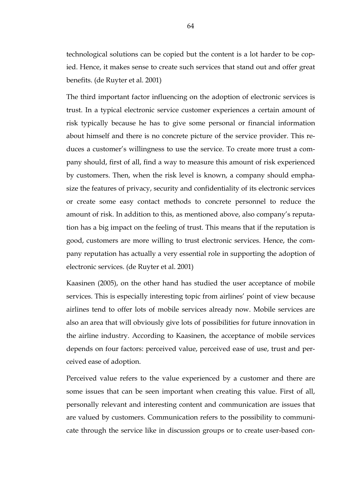technological solutions can be copied but the content is a lot harder to be copied. Hence, it makes sense to create such services that stand out and offer great benefits. (de Ruyter et al. 2001)

The third important factor influencing on the adoption of electronic services is trust. In a typical electronic service customer experiences a certain amount of risk typically because he has to give some personal or financial information about himself and there is no concrete picture of the service provider. This reduces a customer's willingness to use the service. To create more trust a company should, first of all, find a way to measure this amount of risk experienced by customers. Then, when the risk level is known, a company should emphasize the features of privacy, security and confidentiality of its electronic services or create some easy contact methods to concrete personnel to reduce the amount of risk. In addition to this, as mentioned above, also company's reputation has a big impact on the feeling of trust. This means that if the reputation is good, customers are more willing to trust electronic services. Hence, the company reputation has actually a very essential role in supporting the adoption of electronic services. (de Ruyter et al. 2001)

Kaasinen (2005), on the other hand has studied the user acceptance of mobile services. This is especially interesting topic from airlines' point of view because airlines tend to offer lots of mobile services already now. Mobile services are also an area that will obviously give lots of possibilities for future innovation in the airline industry. According to Kaasinen, the acceptance of mobile services depends on four factors: perceived value, perceived ease of use, trust and perceived ease of adoption.

Perceived value refers to the value experienced by a customer and there are some issues that can be seen important when creating this value. First of all, personally relevant and interesting content and communication are issues that are valued by customers. Communication refers to the possibility to communicate through the service like in discussion groups or to create user-based con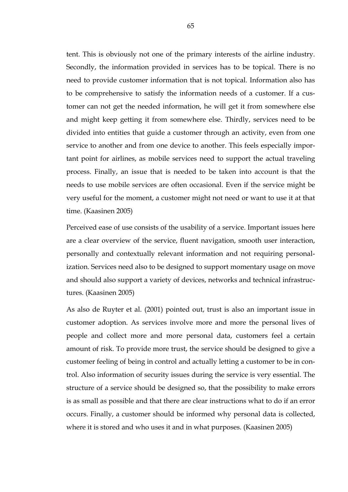tent. This is obviously not one of the primary interests of the airline industry. Secondly, the information provided in services has to be topical. There is no need to provide customer information that is not topical. Information also has to be comprehensive to satisfy the information needs of a customer. If a customer can not get the needed information, he will get it from somewhere else and might keep getting it from somewhere else. Thirdly, services need to be divided into entities that guide a customer through an activity, even from one service to another and from one device to another. This feels especially important point for airlines, as mobile services need to support the actual traveling process. Finally, an issue that is needed to be taken into account is that the needs to use mobile services are often occasional. Even if the service might be very useful for the moment, a customer might not need or want to use it at that time. (Kaasinen 2005)

Perceived ease of use consists of the usability of a service. Important issues here are a clear overview of the service, fluent navigation, smooth user interaction, personally and contextually relevant information and not requiring personalization. Services need also to be designed to support momentary usage on move and should also support a variety of devices, networks and technical infrastructures. (Kaasinen 2005)

As also de Ruyter et al. (2001) pointed out, trust is also an important issue in customer adoption. As services involve more and more the personal lives of people and collect more and more personal data, customers feel a certain amount of risk. To provide more trust, the service should be designed to give a customer feeling of being in control and actually letting a customer to be in control. Also information of security issues during the service is very essential. The structure of a service should be designed so, that the possibility to make errors is as small as possible and that there are clear instructions what to do if an error occurs. Finally, a customer should be informed why personal data is collected, where it is stored and who uses it and in what purposes. (Kaasinen 2005)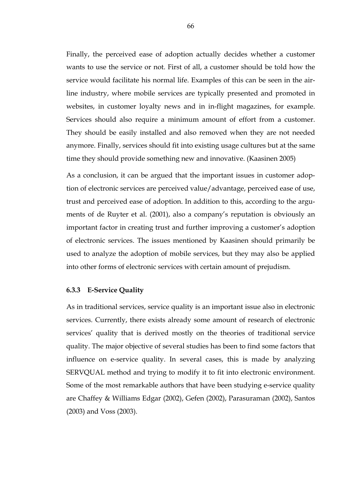Finally, the perceived ease of adoption actually decides whether a customer wants to use the service or not. First of all, a customer should be told how the service would facilitate his normal life. Examples of this can be seen in the airline industry, where mobile services are typically presented and promoted in websites, in customer loyalty news and in in-flight magazines, for example. Services should also require a minimum amount of effort from a customer. They should be easily installed and also removed when they are not needed anymore. Finally, services should fit into existing usage cultures but at the same time they should provide something new and innovative. (Kaasinen 2005)

As a conclusion, it can be argued that the important issues in customer adoption of electronic services are perceived value/advantage, perceived ease of use, trust and perceived ease of adoption. In addition to this, according to the arguments of de Ruyter et al. (2001), also a company's reputation is obviously an important factor in creating trust and further improving a customer's adoption of electronic services. The issues mentioned by Kaasinen should primarily be used to analyze the adoption of mobile services, but they may also be applied into other forms of electronic services with certain amount of prejudism.

# **6.3.3 E-Service Quality**

As in traditional services, service quality is an important issue also in electronic services. Currently, there exists already some amount of research of electronic services' quality that is derived mostly on the theories of traditional service quality. The major objective of several studies has been to find some factors that influence on e-service quality. In several cases, this is made by analyzing SERVQUAL method and trying to modify it to fit into electronic environment. Some of the most remarkable authors that have been studying e-service quality are Chaffey & Williams Edgar (2002), Gefen (2002), Parasuraman (2002), Santos (2003) and Voss (2003).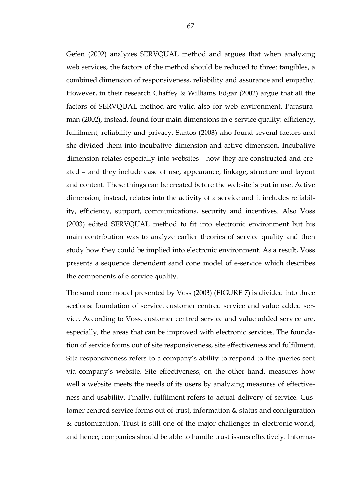Gefen (2002) analyzes SERVQUAL method and argues that when analyzing web services, the factors of the method should be reduced to three: tangibles, a combined dimension of responsiveness, reliability and assurance and empathy. However, in their research Chaffey & Williams Edgar (2002) argue that all the factors of SERVQUAL method are valid also for web environment. Parasuraman (2002), instead, found four main dimensions in e-service quality: efficiency, fulfilment, reliability and privacy. Santos (2003) also found several factors and she divided them into incubative dimension and active dimension. Incubative dimension relates especially into websites - how they are constructed and created – and they include ease of use, appearance, linkage, structure and layout and content. These things can be created before the website is put in use. Active dimension, instead, relates into the activity of a service and it includes reliability, efficiency, support, communications, security and incentives. Also Voss (2003) edited SERVQUAL method to fit into electronic environment but his main contribution was to analyze earlier theories of service quality and then study how they could be implied into electronic environment. As a result, Voss presents a sequence dependent sand cone model of e-service which describes the components of e-service quality.

The sand cone model presented by Voss (2003) (FIGURE 7) is divided into three sections: foundation of service, customer centred service and value added service. According to Voss, customer centred service and value added service are, especially, the areas that can be improved with electronic services. The foundation of service forms out of site responsiveness, site effectiveness and fulfilment. Site responsiveness refers to a company's ability to respond to the queries sent via company's website. Site effectiveness, on the other hand, measures how well a website meets the needs of its users by analyzing measures of effectiveness and usability. Finally, fulfilment refers to actual delivery of service. Customer centred service forms out of trust, information & status and configuration & customization. Trust is still one of the major challenges in electronic world, and hence, companies should be able to handle trust issues effectively. Informa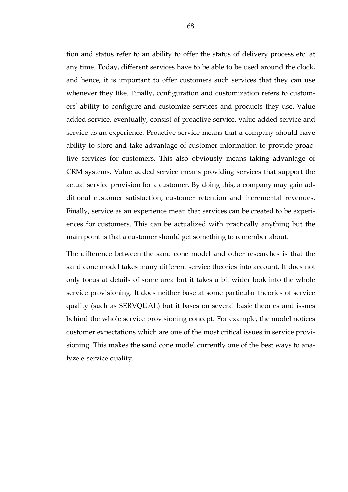tion and status refer to an ability to offer the status of delivery process etc. at any time. Today, different services have to be able to be used around the clock, and hence, it is important to offer customers such services that they can use whenever they like. Finally, configuration and customization refers to customers' ability to configure and customize services and products they use. Value added service, eventually, consist of proactive service, value added service and service as an experience. Proactive service means that a company should have ability to store and take advantage of customer information to provide proactive services for customers. This also obviously means taking advantage of CRM systems. Value added service means providing services that support the actual service provision for a customer. By doing this, a company may gain additional customer satisfaction, customer retention and incremental revenues. Finally, service as an experience mean that services can be created to be experiences for customers. This can be actualized with practically anything but the main point is that a customer should get something to remember about.

The difference between the sand cone model and other researches is that the sand cone model takes many different service theories into account. It does not only focus at details of some area but it takes a bit wider look into the whole service provisioning. It does neither base at some particular theories of service quality (such as SERVQUAL) but it bases on several basic theories and issues behind the whole service provisioning concept. For example, the model notices customer expectations which are one of the most critical issues in service provisioning. This makes the sand cone model currently one of the best ways to analyze e-service quality.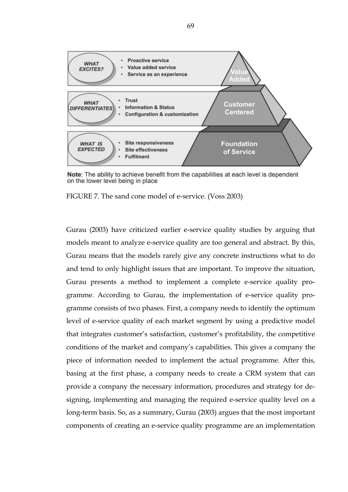

Note: The ability to achieve benefit from the capabilities at each level is dependent on the lower level being in place

FIGURE 7. The sand cone model of e-service. (Voss 2003)

Gurau (2003) have criticized earlier e-service quality studies by arguing that models meant to analyze e-service quality are too general and abstract. By this, Gurau means that the models rarely give any concrete instructions what to do and tend to only highlight issues that are important. To improve the situation, Gurau presents a method to implement a complete e-service quality programme. According to Gurau, the implementation of e-service quality programme consists of two phases. First, a company needs to identify the optimum level of e-service quality of each market segment by using a predictive model that integrates customer's satisfaction, customer's profitability, the competitive conditions of the market and company's capabilities. This gives a company the piece of information needed to implement the actual programme. After this, basing at the first phase, a company needs to create a CRM system that can provide a company the necessary information, procedures and strategy for designing, implementing and managing the required e-service quality level on a long-term basis. So, as a summary, Gurau (2003) argues that the most important components of creating an e-service quality programme are an implementation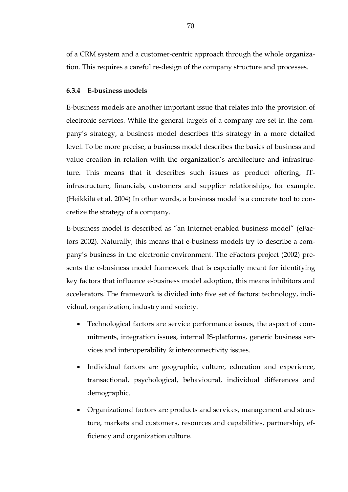of a CRM system and a customer-centric approach through the whole organization. This requires a careful re-design of the company structure and processes.

# **6.3.4 E-business models**

E-business models are another important issue that relates into the provision of electronic services. While the general targets of a company are set in the company's strategy, a business model describes this strategy in a more detailed level. To be more precise, a business model describes the basics of business and value creation in relation with the organization's architecture and infrastructure. This means that it describes such issues as product offering, ITinfrastructure, financials, customers and supplier relationships, for example. (Heikkilä et al. 2004) In other words, a business model is a concrete tool to concretize the strategy of a company.

E-business model is described as "an Internet-enabled business model" (eFactors 2002). Naturally, this means that e-business models try to describe a company's business in the electronic environment. The eFactors project (2002) presents the e-business model framework that is especially meant for identifying key factors that influence e-business model adoption, this means inhibitors and accelerators. The framework is divided into five set of factors: technology, individual, organization, industry and society.

- Technological factors are service performance issues, the aspect of commitments, integration issues, internal IS-platforms, generic business services and interoperability & interconnectivity issues.
- Individual factors are geographic, culture, education and experience, transactional, psychological, behavioural, individual differences and demographic.
- Organizational factors are products and services, management and structure, markets and customers, resources and capabilities, partnership, efficiency and organization culture.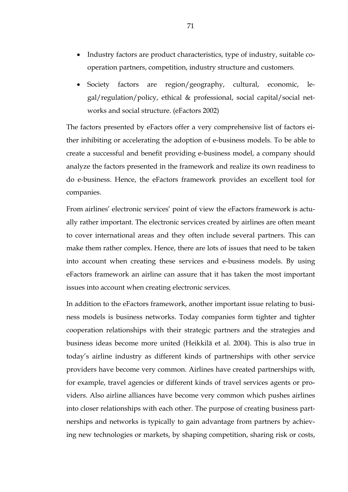- Industry factors are product characteristics, type of industry, suitable cooperation partners, competition, industry structure and customers.
- Society factors are region/geography, cultural, economic, legal/regulation/policy, ethical & professional, social capital/social networks and social structure. (eFactors 2002)

The factors presented by eFactors offer a very comprehensive list of factors either inhibiting or accelerating the adoption of e-business models. To be able to create a successful and benefit providing e-business model, a company should analyze the factors presented in the framework and realize its own readiness to do e-business. Hence, the eFactors framework provides an excellent tool for companies.

From airlines' electronic services' point of view the eFactors framework is actually rather important. The electronic services created by airlines are often meant to cover international areas and they often include several partners. This can make them rather complex. Hence, there are lots of issues that need to be taken into account when creating these services and e-business models. By using eFactors framework an airline can assure that it has taken the most important issues into account when creating electronic services.

In addition to the eFactors framework, another important issue relating to business models is business networks. Today companies form tighter and tighter cooperation relationships with their strategic partners and the strategies and business ideas become more united (Heikkilä et al. 2004). This is also true in today's airline industry as different kinds of partnerships with other service providers have become very common. Airlines have created partnerships with, for example, travel agencies or different kinds of travel services agents or providers. Also airline alliances have become very common which pushes airlines into closer relationships with each other. The purpose of creating business partnerships and networks is typically to gain advantage from partners by achieving new technologies or markets, by shaping competition, sharing risk or costs,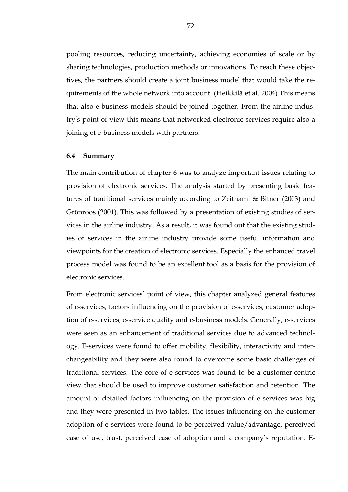pooling resources, reducing uncertainty, achieving economies of scale or by sharing technologies, production methods or innovations. To reach these objectives, the partners should create a joint business model that would take the requirements of the whole network into account. (Heikkilä et al. 2004) This means that also e-business models should be joined together. From the airline industry's point of view this means that networked electronic services require also a joining of e-business models with partners.

#### **6.4 Summary**

The main contribution of chapter 6 was to analyze important issues relating to provision of electronic services. The analysis started by presenting basic features of traditional services mainly according to Zeithaml & Bitner (2003) and Grönroos (2001). This was followed by a presentation of existing studies of services in the airline industry. As a result, it was found out that the existing studies of services in the airline industry provide some useful information and viewpoints for the creation of electronic services. Especially the enhanced travel process model was found to be an excellent tool as a basis for the provision of electronic services.

From electronic services' point of view, this chapter analyzed general features of e-services, factors influencing on the provision of e-services, customer adoption of e-services, e-service quality and e-business models. Generally, e-services were seen as an enhancement of traditional services due to advanced technology. E-services were found to offer mobility, flexibility, interactivity and interchangeability and they were also found to overcome some basic challenges of traditional services. The core of e-services was found to be a customer-centric view that should be used to improve customer satisfaction and retention. The amount of detailed factors influencing on the provision of e-services was big and they were presented in two tables. The issues influencing on the customer adoption of e-services were found to be perceived value/advantage, perceived ease of use, trust, perceived ease of adoption and a company's reputation. E-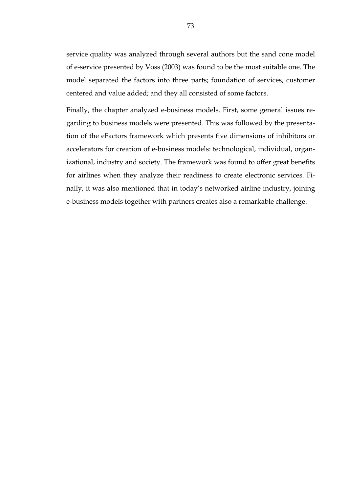service quality was analyzed through several authors but the sand cone model of e-service presented by Voss (2003) was found to be the most suitable one. The model separated the factors into three parts; foundation of services, customer centered and value added; and they all consisted of some factors.

Finally, the chapter analyzed e-business models. First, some general issues regarding to business models were presented. This was followed by the presentation of the eFactors framework which presents five dimensions of inhibitors or accelerators for creation of e-business models: technological, individual, organizational, industry and society. The framework was found to offer great benefits for airlines when they analyze their readiness to create electronic services. Finally, it was also mentioned that in today's networked airline industry, joining e-business models together with partners creates also a remarkable challenge.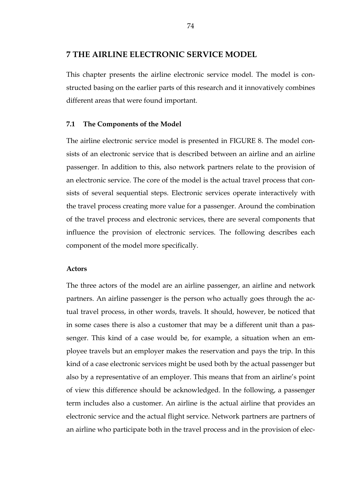## **7 THE AIRLINE ELECTRONIC SERVICE MODEL**

This chapter presents the airline electronic service model. The model is constructed basing on the earlier parts of this research and it innovatively combines different areas that were found important.

#### **7.1 The Components of the Model**

The airline electronic service model is presented in FIGURE 8. The model consists of an electronic service that is described between an airline and an airline passenger. In addition to this, also network partners relate to the provision of an electronic service. The core of the model is the actual travel process that consists of several sequential steps. Electronic services operate interactively with the travel process creating more value for a passenger. Around the combination of the travel process and electronic services, there are several components that influence the provision of electronic services. The following describes each component of the model more specifically.

#### **Actors**

The three actors of the model are an airline passenger, an airline and network partners. An airline passenger is the person who actually goes through the actual travel process, in other words, travels. It should, however, be noticed that in some cases there is also a customer that may be a different unit than a passenger. This kind of a case would be, for example, a situation when an employee travels but an employer makes the reservation and pays the trip. In this kind of a case electronic services might be used both by the actual passenger but also by a representative of an employer. This means that from an airline's point of view this difference should be acknowledged. In the following, a passenger term includes also a customer. An airline is the actual airline that provides an electronic service and the actual flight service. Network partners are partners of an airline who participate both in the travel process and in the provision of elec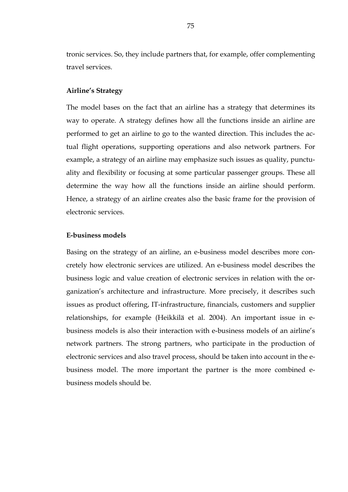tronic services. So, they include partners that, for example, offer complementing travel services.

#### **Airline's Strategy**

The model bases on the fact that an airline has a strategy that determines its way to operate. A strategy defines how all the functions inside an airline are performed to get an airline to go to the wanted direction. This includes the actual flight operations, supporting operations and also network partners. For example, a strategy of an airline may emphasize such issues as quality, punctuality and flexibility or focusing at some particular passenger groups. These all determine the way how all the functions inside an airline should perform. Hence, a strategy of an airline creates also the basic frame for the provision of electronic services.

#### **E-business models**

Basing on the strategy of an airline, an e-business model describes more concretely how electronic services are utilized. An e-business model describes the business logic and value creation of electronic services in relation with the organization's architecture and infrastructure. More precisely, it describes such issues as product offering, IT-infrastructure, financials, customers and supplier relationships, for example (Heikkilä et al. 2004). An important issue in ebusiness models is also their interaction with e-business models of an airline's network partners. The strong partners, who participate in the production of electronic services and also travel process, should be taken into account in the ebusiness model. The more important the partner is the more combined ebusiness models should be.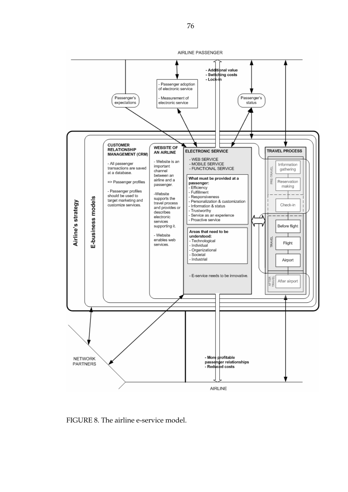

FIGURE 8. The airline e-service model.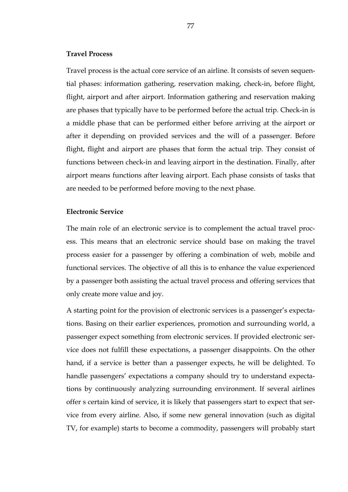#### **Travel Process**

Travel process is the actual core service of an airline. It consists of seven sequential phases: information gathering, reservation making, check-in, before flight, flight, airport and after airport. Information gathering and reservation making are phases that typically have to be performed before the actual trip. Check-in is a middle phase that can be performed either before arriving at the airport or after it depending on provided services and the will of a passenger. Before flight, flight and airport are phases that form the actual trip. They consist of functions between check-in and leaving airport in the destination. Finally, after airport means functions after leaving airport. Each phase consists of tasks that are needed to be performed before moving to the next phase.

#### **Electronic Service**

The main role of an electronic service is to complement the actual travel process. This means that an electronic service should base on making the travel process easier for a passenger by offering a combination of web, mobile and functional services. The objective of all this is to enhance the value experienced by a passenger both assisting the actual travel process and offering services that only create more value and joy.

A starting point for the provision of electronic services is a passenger's expectations. Basing on their earlier experiences, promotion and surrounding world, a passenger expect something from electronic services. If provided electronic service does not fulfill these expectations, a passenger disappoints. On the other hand, if a service is better than a passenger expects, he will be delighted. To handle passengers' expectations a company should try to understand expectations by continuously analyzing surrounding environment. If several airlines offer s certain kind of service, it is likely that passengers start to expect that service from every airline. Also, if some new general innovation (such as digital TV, for example) starts to become a commodity, passengers will probably start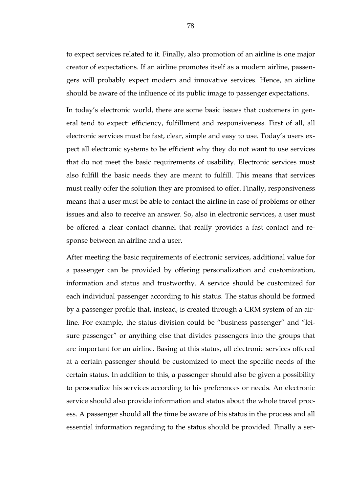to expect services related to it. Finally, also promotion of an airline is one major creator of expectations. If an airline promotes itself as a modern airline, passengers will probably expect modern and innovative services. Hence, an airline should be aware of the influence of its public image to passenger expectations.

In today's electronic world, there are some basic issues that customers in general tend to expect: efficiency, fulfillment and responsiveness. First of all, all electronic services must be fast, clear, simple and easy to use. Today's users expect all electronic systems to be efficient why they do not want to use services that do not meet the basic requirements of usability. Electronic services must also fulfill the basic needs they are meant to fulfill. This means that services must really offer the solution they are promised to offer. Finally, responsiveness means that a user must be able to contact the airline in case of problems or other issues and also to receive an answer. So, also in electronic services, a user must be offered a clear contact channel that really provides a fast contact and response between an airline and a user.

After meeting the basic requirements of electronic services, additional value for a passenger can be provided by offering personalization and customization, information and status and trustworthy. A service should be customized for each individual passenger according to his status. The status should be formed by a passenger profile that, instead, is created through a CRM system of an airline. For example, the status division could be "business passenger" and "leisure passenger" or anything else that divides passengers into the groups that are important for an airline. Basing at this status, all electronic services offered at a certain passenger should be customized to meet the specific needs of the certain status. In addition to this, a passenger should also be given a possibility to personalize his services according to his preferences or needs. An electronic service should also provide information and status about the whole travel process. A passenger should all the time be aware of his status in the process and all essential information regarding to the status should be provided. Finally a ser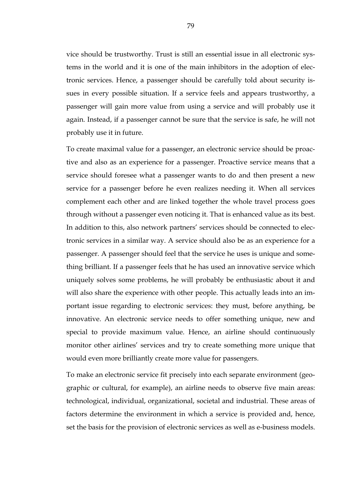vice should be trustworthy. Trust is still an essential issue in all electronic systems in the world and it is one of the main inhibitors in the adoption of electronic services. Hence, a passenger should be carefully told about security issues in every possible situation. If a service feels and appears trustworthy, a passenger will gain more value from using a service and will probably use it again. Instead, if a passenger cannot be sure that the service is safe, he will not probably use it in future.

To create maximal value for a passenger, an electronic service should be proactive and also as an experience for a passenger. Proactive service means that a service should foresee what a passenger wants to do and then present a new service for a passenger before he even realizes needing it. When all services complement each other and are linked together the whole travel process goes through without a passenger even noticing it. That is enhanced value as its best. In addition to this, also network partners' services should be connected to electronic services in a similar way. A service should also be as an experience for a passenger. A passenger should feel that the service he uses is unique and something brilliant. If a passenger feels that he has used an innovative service which uniquely solves some problems, he will probably be enthusiastic about it and will also share the experience with other people. This actually leads into an important issue regarding to electronic services: they must, before anything, be innovative. An electronic service needs to offer something unique, new and special to provide maximum value. Hence, an airline should continuously monitor other airlines' services and try to create something more unique that would even more brilliantly create more value for passengers.

To make an electronic service fit precisely into each separate environment (geographic or cultural, for example), an airline needs to observe five main areas: technological, individual, organizational, societal and industrial. These areas of factors determine the environment in which a service is provided and, hence, set the basis for the provision of electronic services as well as e-business models.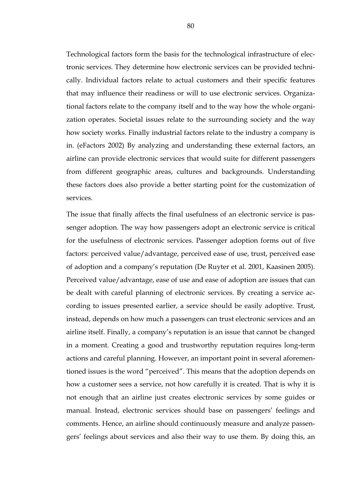Technological factors form the basis for the technological infrastructure of electronic services. They determine how electronic services can be provided technically. Individual factors relate to actual customers and their specific features that may influence their readiness or will to use electronic services. Organizational factors relate to the company itself and to the way how the whole organization operates. Societal issues relate to the surrounding society and the way how society works. Finally industrial factors relate to the industry a company is in. (eFactors 2002) By analyzing and understanding these external factors, an airline can provide electronic services that would suite for different passengers from different geographic areas, cultures and backgrounds. Understanding these factors does also provide a better starting point for the customization of services.

The issue that finally affects the final usefulness of an electronic service is passenger adoption. The way how passengers adopt an electronic service is critical for the usefulness of electronic services. Passenger adoption forms out of five factors: perceived value/advantage, perceived ease of use, trust, perceived ease of adoption and a company's reputation (De Ruyter et al. 2001, Kaasinen 2005). Perceived value/advantage, ease of use and ease of adoption are issues that can be dealt with careful planning of electronic services. By creating a service according to issues presented earlier, a service should be easily adoptive. Trust, instead, depends on how much a passengers can trust electronic services and an airline itself. Finally, a company's reputation is an issue that cannot be changed in a moment. Creating a good and trustworthy reputation requires long-term actions and careful planning. However, an important point in several aforementioned issues is the word "perceived". This means that the adoption depends on how a customer sees a service, not how carefully it is created. That is why it is not enough that an airline just creates electronic services by some guides or manual. Instead, electronic services should base on passengers' feelings and comments. Hence, an airline should continuously measure and analyze passengers' feelings about services and also their way to use them. By doing this, an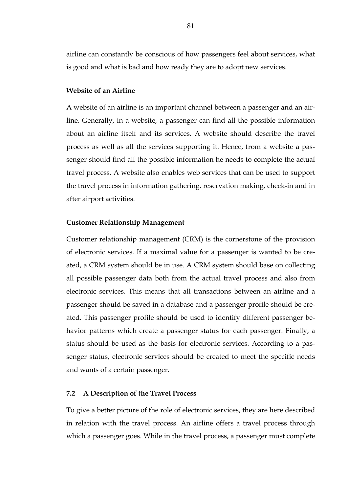airline can constantly be conscious of how passengers feel about services, what is good and what is bad and how ready they are to adopt new services.

#### **Website of an Airline**

A website of an airline is an important channel between a passenger and an airline. Generally, in a website, a passenger can find all the possible information about an airline itself and its services. A website should describe the travel process as well as all the services supporting it. Hence, from a website a passenger should find all the possible information he needs to complete the actual travel process. A website also enables web services that can be used to support the travel process in information gathering, reservation making, check-in and in after airport activities.

#### **Customer Relationship Management**

Customer relationship management (CRM) is the cornerstone of the provision of electronic services. If a maximal value for a passenger is wanted to be created, a CRM system should be in use. A CRM system should base on collecting all possible passenger data both from the actual travel process and also from electronic services. This means that all transactions between an airline and a passenger should be saved in a database and a passenger profile should be created. This passenger profile should be used to identify different passenger behavior patterns which create a passenger status for each passenger. Finally, a status should be used as the basis for electronic services. According to a passenger status, electronic services should be created to meet the specific needs and wants of a certain passenger.

#### **7.2 A Description of the Travel Process**

To give a better picture of the role of electronic services, they are here described in relation with the travel process. An airline offers a travel process through which a passenger goes. While in the travel process, a passenger must complete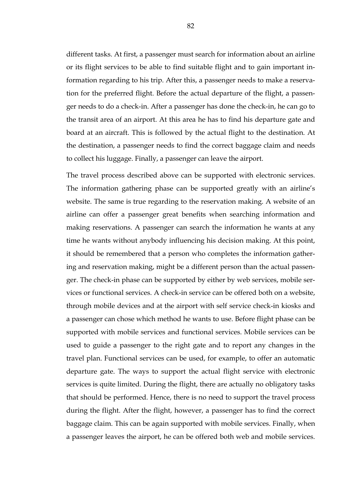different tasks. At first, a passenger must search for information about an airline or its flight services to be able to find suitable flight and to gain important information regarding to his trip. After this, a passenger needs to make a reservation for the preferred flight. Before the actual departure of the flight, a passenger needs to do a check-in. After a passenger has done the check-in, he can go to the transit area of an airport. At this area he has to find his departure gate and board at an aircraft. This is followed by the actual flight to the destination. At the destination, a passenger needs to find the correct baggage claim and needs to collect his luggage. Finally, a passenger can leave the airport.

The travel process described above can be supported with electronic services. The information gathering phase can be supported greatly with an airline's website. The same is true regarding to the reservation making. A website of an airline can offer a passenger great benefits when searching information and making reservations. A passenger can search the information he wants at any time he wants without anybody influencing his decision making. At this point, it should be remembered that a person who completes the information gathering and reservation making, might be a different person than the actual passenger. The check-in phase can be supported by either by web services, mobile services or functional services. A check-in service can be offered both on a website, through mobile devices and at the airport with self service check-in kiosks and a passenger can chose which method he wants to use. Before flight phase can be supported with mobile services and functional services. Mobile services can be used to guide a passenger to the right gate and to report any changes in the travel plan. Functional services can be used, for example, to offer an automatic departure gate. The ways to support the actual flight service with electronic services is quite limited. During the flight, there are actually no obligatory tasks that should be performed. Hence, there is no need to support the travel process during the flight. After the flight, however, a passenger has to find the correct baggage claim. This can be again supported with mobile services. Finally, when a passenger leaves the airport, he can be offered both web and mobile services.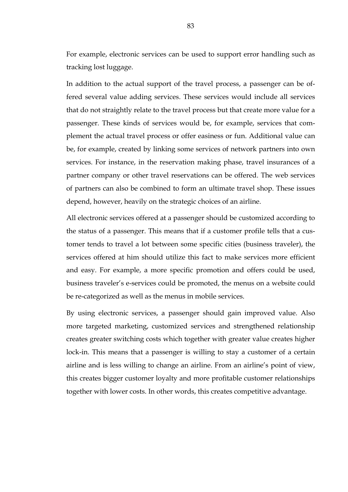For example, electronic services can be used to support error handling such as tracking lost luggage.

In addition to the actual support of the travel process, a passenger can be offered several value adding services. These services would include all services that do not straightly relate to the travel process but that create more value for a passenger. These kinds of services would be, for example, services that complement the actual travel process or offer easiness or fun. Additional value can be, for example, created by linking some services of network partners into own services. For instance, in the reservation making phase, travel insurances of a partner company or other travel reservations can be offered. The web services of partners can also be combined to form an ultimate travel shop. These issues depend, however, heavily on the strategic choices of an airline.

All electronic services offered at a passenger should be customized according to the status of a passenger. This means that if a customer profile tells that a customer tends to travel a lot between some specific cities (business traveler), the services offered at him should utilize this fact to make services more efficient and easy. For example, a more specific promotion and offers could be used, business traveler's e-services could be promoted, the menus on a website could be re-categorized as well as the menus in mobile services.

By using electronic services, a passenger should gain improved value. Also more targeted marketing, customized services and strengthened relationship creates greater switching costs which together with greater value creates higher lock-in. This means that a passenger is willing to stay a customer of a certain airline and is less willing to change an airline. From an airline's point of view, this creates bigger customer loyalty and more profitable customer relationships together with lower costs. In other words, this creates competitive advantage.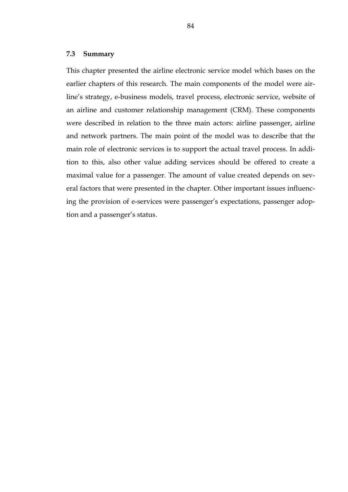#### **7.3 Summary**

This chapter presented the airline electronic service model which bases on the earlier chapters of this research. The main components of the model were airline's strategy, e-business models, travel process, electronic service, website of an airline and customer relationship management (CRM). These components were described in relation to the three main actors: airline passenger, airline and network partners. The main point of the model was to describe that the main role of electronic services is to support the actual travel process. In addition to this, also other value adding services should be offered to create a maximal value for a passenger. The amount of value created depends on several factors that were presented in the chapter. Other important issues influencing the provision of e-services were passenger's expectations, passenger adoption and a passenger's status.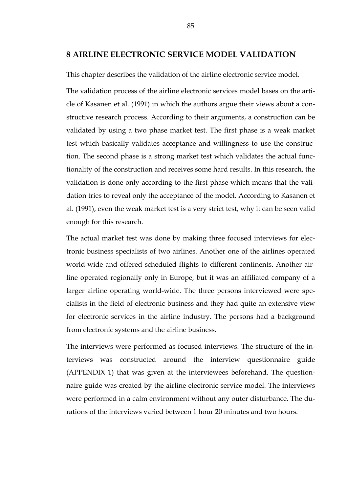## **8 AIRLINE ELECTRONIC SERVICE MODEL VALIDATION**

This chapter describes the validation of the airline electronic service model.

The validation process of the airline electronic services model bases on the article of Kasanen et al. (1991) in which the authors argue their views about a constructive research process. According to their arguments, a construction can be validated by using a two phase market test. The first phase is a weak market test which basically validates acceptance and willingness to use the construction. The second phase is a strong market test which validates the actual functionality of the construction and receives some hard results. In this research, the validation is done only according to the first phase which means that the validation tries to reveal only the acceptance of the model. According to Kasanen et al. (1991), even the weak market test is a very strict test, why it can be seen valid enough for this research.

The actual market test was done by making three focused interviews for electronic business specialists of two airlines. Another one of the airlines operated world-wide and offered scheduled flights to different continents. Another airline operated regionally only in Europe, but it was an affiliated company of a larger airline operating world-wide. The three persons interviewed were specialists in the field of electronic business and they had quite an extensive view for electronic services in the airline industry. The persons had a background from electronic systems and the airline business.

The interviews were performed as focused interviews. The structure of the interviews was constructed around the interview questionnaire guide (APPENDIX 1) that was given at the interviewees beforehand. The questionnaire guide was created by the airline electronic service model. The interviews were performed in a calm environment without any outer disturbance. The durations of the interviews varied between 1 hour 20 minutes and two hours.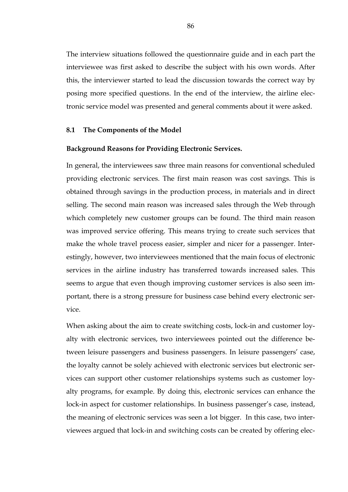The interview situations followed the questionnaire guide and in each part the interviewee was first asked to describe the subject with his own words. After this, the interviewer started to lead the discussion towards the correct way by posing more specified questions. In the end of the interview, the airline electronic service model was presented and general comments about it were asked.

#### **8.1 The Components of the Model**

#### **Background Reasons for Providing Electronic Services.**

In general, the interviewees saw three main reasons for conventional scheduled providing electronic services. The first main reason was cost savings. This is obtained through savings in the production process, in materials and in direct selling. The second main reason was increased sales through the Web through which completely new customer groups can be found. The third main reason was improved service offering. This means trying to create such services that make the whole travel process easier, simpler and nicer for a passenger. Interestingly, however, two interviewees mentioned that the main focus of electronic services in the airline industry has transferred towards increased sales. This seems to argue that even though improving customer services is also seen important, there is a strong pressure for business case behind every electronic service.

When asking about the aim to create switching costs, lock-in and customer loyalty with electronic services, two interviewees pointed out the difference between leisure passengers and business passengers. In leisure passengers' case, the loyalty cannot be solely achieved with electronic services but electronic services can support other customer relationships systems such as customer loyalty programs, for example. By doing this, electronic services can enhance the lock-in aspect for customer relationships. In business passenger's case, instead, the meaning of electronic services was seen a lot bigger. In this case, two interviewees argued that lock-in and switching costs can be created by offering elec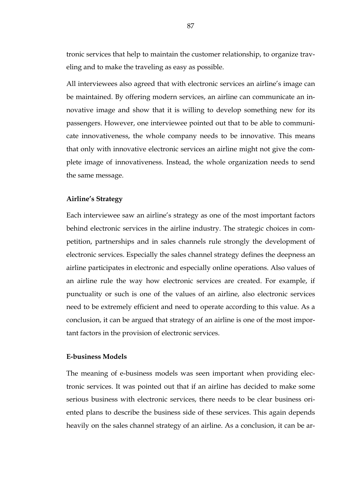tronic services that help to maintain the customer relationship, to organize traveling and to make the traveling as easy as possible.

All interviewees also agreed that with electronic services an airline's image can be maintained. By offering modern services, an airline can communicate an innovative image and show that it is willing to develop something new for its passengers. However, one interviewee pointed out that to be able to communicate innovativeness, the whole company needs to be innovative. This means that only with innovative electronic services an airline might not give the complete image of innovativeness. Instead, the whole organization needs to send the same message.

#### **Airline's Strategy**

Each interviewee saw an airline's strategy as one of the most important factors behind electronic services in the airline industry. The strategic choices in competition, partnerships and in sales channels rule strongly the development of electronic services. Especially the sales channel strategy defines the deepness an airline participates in electronic and especially online operations. Also values of an airline rule the way how electronic services are created. For example, if punctuality or such is one of the values of an airline, also electronic services need to be extremely efficient and need to operate according to this value. As a conclusion, it can be argued that strategy of an airline is one of the most important factors in the provision of electronic services.

## **E-business Models**

The meaning of e-business models was seen important when providing electronic services. It was pointed out that if an airline has decided to make some serious business with electronic services, there needs to be clear business oriented plans to describe the business side of these services. This again depends heavily on the sales channel strategy of an airline. As a conclusion, it can be ar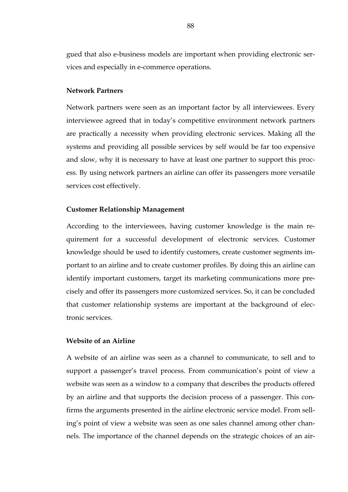gued that also e-business models are important when providing electronic services and especially in e-commerce operations.

#### **Network Partners**

Network partners were seen as an important factor by all interviewees. Every interviewee agreed that in today's competitive environment network partners are practically a necessity when providing electronic services. Making all the systems and providing all possible services by self would be far too expensive and slow, why it is necessary to have at least one partner to support this process. By using network partners an airline can offer its passengers more versatile services cost effectively.

## **Customer Relationship Management**

According to the interviewees, having customer knowledge is the main requirement for a successful development of electronic services. Customer knowledge should be used to identify customers, create customer segments important to an airline and to create customer profiles. By doing this an airline can identify important customers, target its marketing communications more precisely and offer its passengers more customized services. So, it can be concluded that customer relationship systems are important at the background of electronic services.

#### **Website of an Airline**

A website of an airline was seen as a channel to communicate, to sell and to support a passenger's travel process. From communication's point of view a website was seen as a window to a company that describes the products offered by an airline and that supports the decision process of a passenger. This confirms the arguments presented in the airline electronic service model. From selling's point of view a website was seen as one sales channel among other channels. The importance of the channel depends on the strategic choices of an air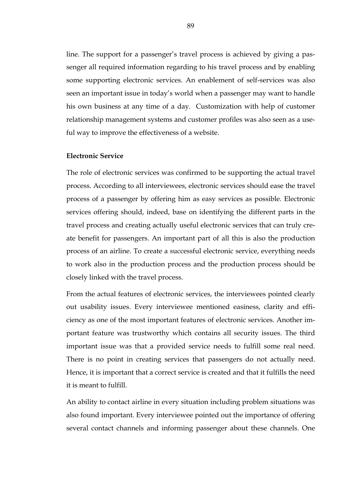line. The support for a passenger's travel process is achieved by giving a passenger all required information regarding to his travel process and by enabling some supporting electronic services. An enablement of self-services was also seen an important issue in today's world when a passenger may want to handle his own business at any time of a day. Customization with help of customer relationship management systems and customer profiles was also seen as a useful way to improve the effectiveness of a website.

#### **Electronic Service**

The role of electronic services was confirmed to be supporting the actual travel process. According to all interviewees, electronic services should ease the travel process of a passenger by offering him as easy services as possible. Electronic services offering should, indeed, base on identifying the different parts in the travel process and creating actually useful electronic services that can truly create benefit for passengers. An important part of all this is also the production process of an airline. To create a successful electronic service, everything needs to work also in the production process and the production process should be closely linked with the travel process.

From the actual features of electronic services, the interviewees pointed clearly out usability issues. Every interviewee mentioned easiness, clarity and efficiency as one of the most important features of electronic services. Another important feature was trustworthy which contains all security issues. The third important issue was that a provided service needs to fulfill some real need. There is no point in creating services that passengers do not actually need. Hence, it is important that a correct service is created and that it fulfills the need it is meant to fulfill.

An ability to contact airline in every situation including problem situations was also found important. Every interviewee pointed out the importance of offering several contact channels and informing passenger about these channels. One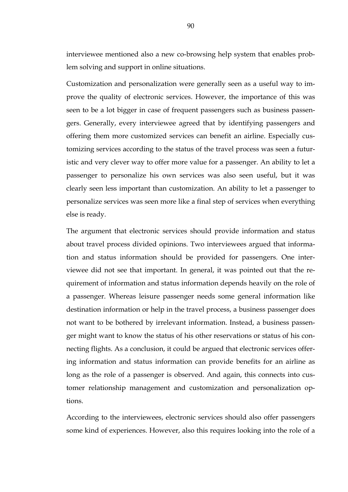interviewee mentioned also a new co-browsing help system that enables problem solving and support in online situations.

Customization and personalization were generally seen as a useful way to improve the quality of electronic services. However, the importance of this was seen to be a lot bigger in case of frequent passengers such as business passengers. Generally, every interviewee agreed that by identifying passengers and offering them more customized services can benefit an airline. Especially customizing services according to the status of the travel process was seen a futuristic and very clever way to offer more value for a passenger. An ability to let a passenger to personalize his own services was also seen useful, but it was clearly seen less important than customization. An ability to let a passenger to personalize services was seen more like a final step of services when everything else is ready.

The argument that electronic services should provide information and status about travel process divided opinions. Two interviewees argued that information and status information should be provided for passengers. One interviewee did not see that important. In general, it was pointed out that the requirement of information and status information depends heavily on the role of a passenger. Whereas leisure passenger needs some general information like destination information or help in the travel process, a business passenger does not want to be bothered by irrelevant information. Instead, a business passenger might want to know the status of his other reservations or status of his connecting flights. As a conclusion, it could be argued that electronic services offering information and status information can provide benefits for an airline as long as the role of a passenger is observed. And again, this connects into customer relationship management and customization and personalization options.

According to the interviewees, electronic services should also offer passengers some kind of experiences. However, also this requires looking into the role of a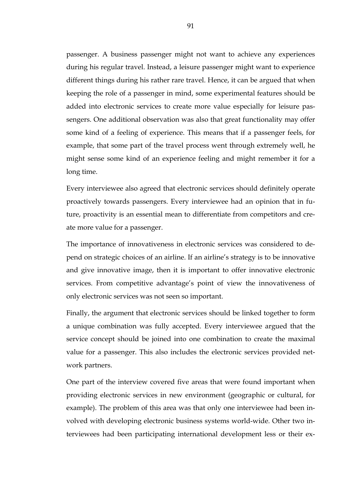passenger. A business passenger might not want to achieve any experiences during his regular travel. Instead, a leisure passenger might want to experience different things during his rather rare travel. Hence, it can be argued that when keeping the role of a passenger in mind, some experimental features should be added into electronic services to create more value especially for leisure passengers. One additional observation was also that great functionality may offer some kind of a feeling of experience. This means that if a passenger feels, for example, that some part of the travel process went through extremely well, he might sense some kind of an experience feeling and might remember it for a long time.

Every interviewee also agreed that electronic services should definitely operate proactively towards passengers. Every interviewee had an opinion that in future, proactivity is an essential mean to differentiate from competitors and create more value for a passenger.

The importance of innovativeness in electronic services was considered to depend on strategic choices of an airline. If an airline's strategy is to be innovative and give innovative image, then it is important to offer innovative electronic services. From competitive advantage's point of view the innovativeness of only electronic services was not seen so important.

Finally, the argument that electronic services should be linked together to form a unique combination was fully accepted. Every interviewee argued that the service concept should be joined into one combination to create the maximal value for a passenger. This also includes the electronic services provided network partners.

One part of the interview covered five areas that were found important when providing electronic services in new environment (geographic or cultural, for example). The problem of this area was that only one interviewee had been involved with developing electronic business systems world-wide. Other two interviewees had been participating international development less or their ex-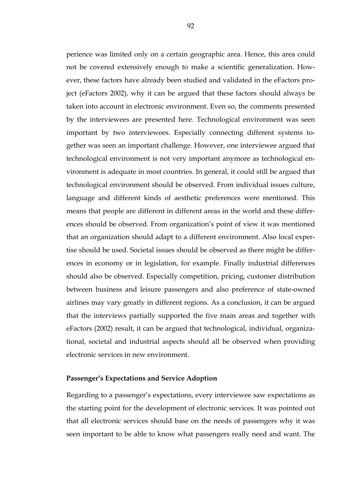perience was limited only on a certain geographic area. Hence, this area could not be covered extensively enough to make a scientific generalization. However, these factors have already been studied and validated in the eFactors project (eFactors 2002), why it can be argued that these factors should always be taken into account in electronic environment. Even so, the comments presented by the interviewees are presented here. Technological environment was seen important by two interviewees. Especially connecting different systems together was seen an important challenge. However, one interviewee argued that technological environment is not very important anymore as technological environment is adequate in most countries. In general, it could still be argued that technological environment should be observed. From individual issues culture, language and different kinds of aesthetic preferences were mentioned. This means that people are different in different areas in the world and these differences should be observed. From organization's point of view it was mentioned that an organization should adapt to a different environment. Also local expertise should be used. Societal issues should be observed as there might be differences in economy or in legislation, for example. Finally industrial differences should also be observed. Especially competition, pricing, customer distribution between business and leisure passengers and also preference of state-owned airlines may vary greatly in different regions. As a conclusion, it can be argued that the interviews partially supported the five main areas and together with eFactors (2002) result, it can be argued that technological, individual, organizational, societal and industrial aspects should all be observed when providing electronic services in new environment.

#### **Passenger's Expectations and Service Adoption**

Regarding to a passenger's expectations, every interviewee saw expectations as the starting point for the development of electronic services. It was pointed out that all electronic services should base on the needs of passengers why it was seen important to be able to know what passengers really need and want. The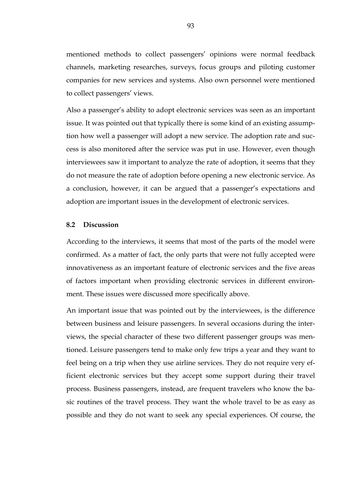mentioned methods to collect passengers' opinions were normal feedback channels, marketing researches, surveys, focus groups and piloting customer companies for new services and systems. Also own personnel were mentioned to collect passengers' views.

Also a passenger's ability to adopt electronic services was seen as an important issue. It was pointed out that typically there is some kind of an existing assumption how well a passenger will adopt a new service. The adoption rate and success is also monitored after the service was put in use. However, even though interviewees saw it important to analyze the rate of adoption, it seems that they do not measure the rate of adoption before opening a new electronic service. As a conclusion, however, it can be argued that a passenger's expectations and adoption are important issues in the development of electronic services.

#### **8.2 Discussion**

According to the interviews, it seems that most of the parts of the model were confirmed. As a matter of fact, the only parts that were not fully accepted were innovativeness as an important feature of electronic services and the five areas of factors important when providing electronic services in different environment. These issues were discussed more specifically above.

An important issue that was pointed out by the interviewees, is the difference between business and leisure passengers. In several occasions during the interviews, the special character of these two different passenger groups was mentioned. Leisure passengers tend to make only few trips a year and they want to feel being on a trip when they use airline services. They do not require very efficient electronic services but they accept some support during their travel process. Business passengers, instead, are frequent travelers who know the basic routines of the travel process. They want the whole travel to be as easy as possible and they do not want to seek any special experiences. Of course, the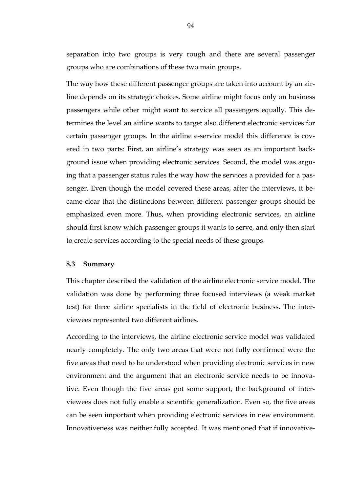separation into two groups is very rough and there are several passenger groups who are combinations of these two main groups.

The way how these different passenger groups are taken into account by an airline depends on its strategic choices. Some airline might focus only on business passengers while other might want to service all passengers equally. This determines the level an airline wants to target also different electronic services for certain passenger groups. In the airline e-service model this difference is covered in two parts: First, an airline's strategy was seen as an important background issue when providing electronic services. Second, the model was arguing that a passenger status rules the way how the services a provided for a passenger. Even though the model covered these areas, after the interviews, it became clear that the distinctions between different passenger groups should be emphasized even more. Thus, when providing electronic services, an airline should first know which passenger groups it wants to serve, and only then start to create services according to the special needs of these groups.

#### **8.3 Summary**

This chapter described the validation of the airline electronic service model. The validation was done by performing three focused interviews (a weak market test) for three airline specialists in the field of electronic business. The interviewees represented two different airlines.

According to the interviews, the airline electronic service model was validated nearly completely. The only two areas that were not fully confirmed were the five areas that need to be understood when providing electronic services in new environment and the argument that an electronic service needs to be innovative. Even though the five areas got some support, the background of interviewees does not fully enable a scientific generalization. Even so, the five areas can be seen important when providing electronic services in new environment. Innovativeness was neither fully accepted. It was mentioned that if innovative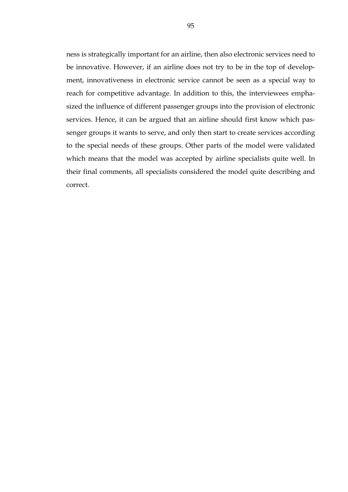ness is strategically important for an airline, then also electronic services need to be innovative. However, if an airline does not try to be in the top of development, innovativeness in electronic service cannot be seen as a special way to reach for competitive advantage. In addition to this, the interviewees emphasized the influence of different passenger groups into the provision of electronic services. Hence, it can be argued that an airline should first know which passenger groups it wants to serve, and only then start to create services according to the special needs of these groups. Other parts of the model were validated which means that the model was accepted by airline specialists quite well. In their final comments, all specialists considered the model quite describing and correct.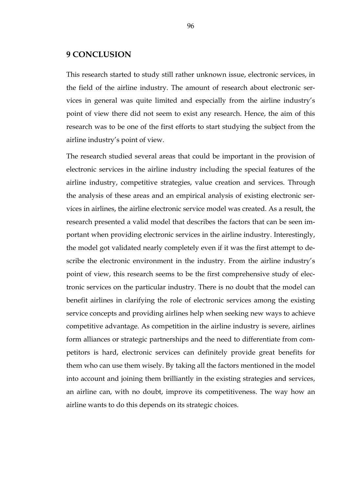## **9 CONCLUSION**

This research started to study still rather unknown issue, electronic services, in the field of the airline industry. The amount of research about electronic services in general was quite limited and especially from the airline industry's point of view there did not seem to exist any research. Hence, the aim of this research was to be one of the first efforts to start studying the subject from the airline industry's point of view.

The research studied several areas that could be important in the provision of electronic services in the airline industry including the special features of the airline industry, competitive strategies, value creation and services. Through the analysis of these areas and an empirical analysis of existing electronic services in airlines, the airline electronic service model was created. As a result, the research presented a valid model that describes the factors that can be seen important when providing electronic services in the airline industry. Interestingly, the model got validated nearly completely even if it was the first attempt to describe the electronic environment in the industry. From the airline industry's point of view, this research seems to be the first comprehensive study of electronic services on the particular industry. There is no doubt that the model can benefit airlines in clarifying the role of electronic services among the existing service concepts and providing airlines help when seeking new ways to achieve competitive advantage. As competition in the airline industry is severe, airlines form alliances or strategic partnerships and the need to differentiate from competitors is hard, electronic services can definitely provide great benefits for them who can use them wisely. By taking all the factors mentioned in the model into account and joining them brilliantly in the existing strategies and services, an airline can, with no doubt, improve its competitiveness. The way how an airline wants to do this depends on its strategic choices.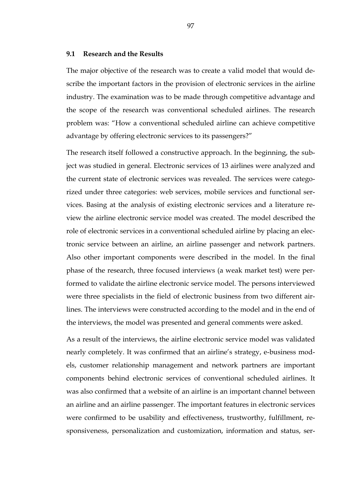#### **9.1 Research and the Results**

The major objective of the research was to create a valid model that would describe the important factors in the provision of electronic services in the airline industry. The examination was to be made through competitive advantage and the scope of the research was conventional scheduled airlines. The research problem was: "How a conventional scheduled airline can achieve competitive advantage by offering electronic services to its passengers?"

The research itself followed a constructive approach. In the beginning, the subject was studied in general. Electronic services of 13 airlines were analyzed and the current state of electronic services was revealed. The services were categorized under three categories: web services, mobile services and functional services. Basing at the analysis of existing electronic services and a literature review the airline electronic service model was created. The model described the role of electronic services in a conventional scheduled airline by placing an electronic service between an airline, an airline passenger and network partners. Also other important components were described in the model. In the final phase of the research, three focused interviews (a weak market test) were performed to validate the airline electronic service model. The persons interviewed were three specialists in the field of electronic business from two different airlines. The interviews were constructed according to the model and in the end of the interviews, the model was presented and general comments were asked.

As a result of the interviews, the airline electronic service model was validated nearly completely. It was confirmed that an airline's strategy, e-business models, customer relationship management and network partners are important components behind electronic services of conventional scheduled airlines. It was also confirmed that a website of an airline is an important channel between an airline and an airline passenger. The important features in electronic services were confirmed to be usability and effectiveness, trustworthy, fulfillment, responsiveness, personalization and customization, information and status, ser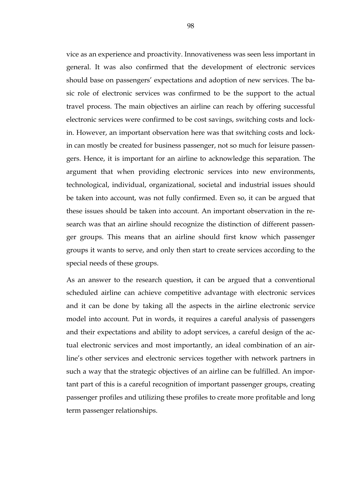vice as an experience and proactivity. Innovativeness was seen less important in general. It was also confirmed that the development of electronic services should base on passengers' expectations and adoption of new services. The basic role of electronic services was confirmed to be the support to the actual travel process. The main objectives an airline can reach by offering successful electronic services were confirmed to be cost savings, switching costs and lockin. However, an important observation here was that switching costs and lockin can mostly be created for business passenger, not so much for leisure passengers. Hence, it is important for an airline to acknowledge this separation. The argument that when providing electronic services into new environments, technological, individual, organizational, societal and industrial issues should be taken into account, was not fully confirmed. Even so, it can be argued that these issues should be taken into account. An important observation in the research was that an airline should recognize the distinction of different passenger groups. This means that an airline should first know which passenger groups it wants to serve, and only then start to create services according to the special needs of these groups.

As an answer to the research question, it can be argued that a conventional scheduled airline can achieve competitive advantage with electronic services and it can be done by taking all the aspects in the airline electronic service model into account. Put in words, it requires a careful analysis of passengers and their expectations and ability to adopt services, a careful design of the actual electronic services and most importantly, an ideal combination of an airline's other services and electronic services together with network partners in such a way that the strategic objectives of an airline can be fulfilled. An important part of this is a careful recognition of important passenger groups, creating passenger profiles and utilizing these profiles to create more profitable and long term passenger relationships.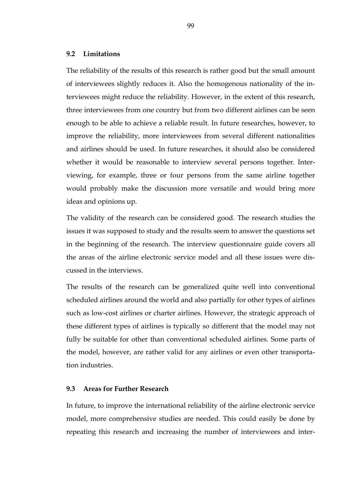#### **9.2 Limitations**

The reliability of the results of this research is rather good but the small amount of interviewees slightly reduces it. Also the homogenous nationality of the interviewees might reduce the reliability. However, in the extent of this research, three interviewees from one country but from two different airlines can be seen enough to be able to achieve a reliable result. In future researches, however, to improve the reliability, more interviewees from several different nationalities and airlines should be used. In future researches, it should also be considered whether it would be reasonable to interview several persons together. Interviewing, for example, three or four persons from the same airline together would probably make the discussion more versatile and would bring more ideas and opinions up.

The validity of the research can be considered good. The research studies the issues it was supposed to study and the results seem to answer the questions set in the beginning of the research. The interview questionnaire guide covers all the areas of the airline electronic service model and all these issues were discussed in the interviews.

The results of the research can be generalized quite well into conventional scheduled airlines around the world and also partially for other types of airlines such as low-cost airlines or charter airlines. However, the strategic approach of these different types of airlines is typically so different that the model may not fully be suitable for other than conventional scheduled airlines. Some parts of the model, however, are rather valid for any airlines or even other transportation industries.

#### **9.3 Areas for Further Research**

In future, to improve the international reliability of the airline electronic service model, more comprehensive studies are needed. This could easily be done by repeating this research and increasing the number of interviewees and inter-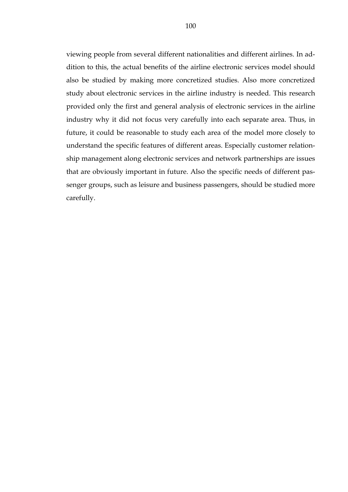viewing people from several different nationalities and different airlines. In addition to this, the actual benefits of the airline electronic services model should also be studied by making more concretized studies. Also more concretized study about electronic services in the airline industry is needed. This research provided only the first and general analysis of electronic services in the airline industry why it did not focus very carefully into each separate area. Thus, in future, it could be reasonable to study each area of the model more closely to understand the specific features of different areas. Especially customer relationship management along electronic services and network partnerships are issues that are obviously important in future. Also the specific needs of different passenger groups, such as leisure and business passengers, should be studied more carefully.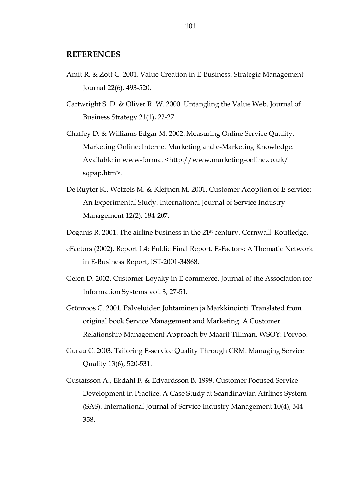## **REFERENCES**

- Amit R. & Zott C. 2001. Value Creation in E-Business. Strategic Management Journal 22(6), 493-520.
- Cartwright S. D. & Oliver R. W. 2000. Untangling the Value Web. Journal of Business Strategy 21(1), 22-27.
- Chaffey D. & Williams Edgar M. 2002. Measuring Online Service Quality. Marketing Online: Internet Marketing and e-Marketing Knowledge. Available in www-format <http://www.marketing-online.co.uk/ sqpap.htm>.
- De Ruyter K., Wetzels M. & Kleijnen M. 2001. Customer Adoption of E-service: An Experimental Study. International Journal of Service Industry Management 12(2), 184-207.
- Doganis R. 2001. The airline business in the 21<sup>st</sup> century. Cornwall: Routledge.
- eFactors (2002). Report 1.4: Public Final Report. E-Factors: A Thematic Network in E-Business Report, IST-2001-34868.
- Gefen D. 2002. Customer Loyalty in E-commerce. Journal of the Association for Information Systems vol. 3, 27-51.
- Grönroos C. 2001. Palveluiden Johtaminen ja Markkinointi. Translated from original book Service Management and Marketing. A Customer Relationship Management Approach by Maarit Tillman. WSOY: Porvoo.
- Gurau C. 2003. Tailoring E-service Quality Through CRM. Managing Service Quality 13(6), 520-531.
- Gustafsson A., Ekdahl F. & Edvardsson B. 1999. Customer Focused Service Development in Practice. A Case Study at Scandinavian Airlines System (SAS). International Journal of Service Industry Management 10(4), 344- 358.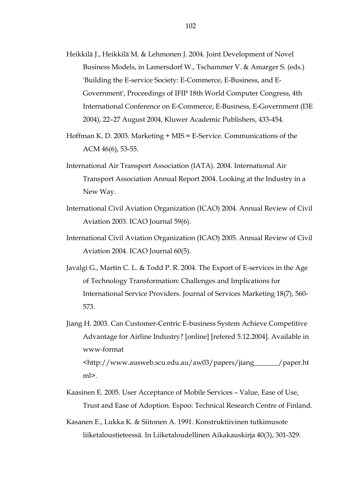- Heikkilä J., Heikkilä M. & Lehmonen J. 2004. Joint Development of Novel Business Models, in Lamersdorf W., Tschammer V. & Amarger S. (eds.) 'Building the E-service Society: E-Commerce, E-Business, and E-Government', Proceedings of IFIP 18th World Computer Congress, 4th International Conference on E-Commerce, E-Business, E-Government (I3E 2004), 22–27 August 2004, Kluwer Academic Publishers, 433-454.
- Hoffman K. D. 2003. Marketing + MIS = E-Service. Communications of the ACM 46(6), 53-55.
- International Air Transport Association (IATA). 2004. International Air Transport Association Annual Report 2004. Looking at the Industry in a New Way.
- International Civil Aviation Organization (ICAO) 2004. Annual Review of Civil Aviation 2003. ICAO Journal 59(6).
- International Civil Aviation Organization (ICAO) 2005. Annual Review of Civil Aviation 2004. ICAO Journal 60(5).
- Javalgi G., Martin C. L. & Todd P. R. 2004. The Export of E-services in the Age of Technology Transformation: Challenges and Implications for International Service Providers. Journal of Services Marketing 18(7), 560- 573.
- Jiang H. 2003. Can Customer-Centric E-business System Achieve Competitive Advantage for Airline Industry? [online] [refered 5.12.2004]. Available in www-format <http://www.ausweb.scu.edu.au/aw03/papers/jiang\_\_\_\_\_\_\_/paper.ht ml>.
- Kaasinen E. 2005. User Acceptance of Mobile Services Value, Ease of Use, Trust and Ease of Adoption. Espoo: Technical Research Centre of Finland.
- Kasanen E., Lukka K. & Siitonen A. 1991. Konstruktiivinen tutkimusote liiketaloustieteessä. In Liiketaloudellinen Aikakauskirja 40(3), 301-329.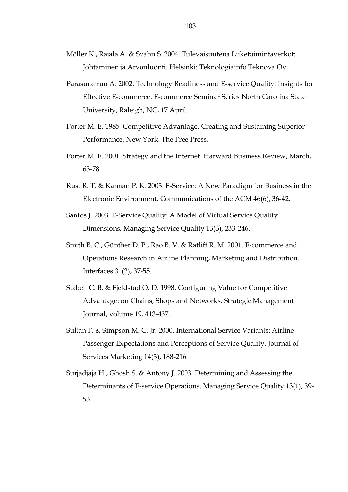- Möller K., Rajala A. & Svahn S. 2004. Tulevaisuutena Liiketoimintaverkot: Johtaminen ja Arvonluonti. Helsinki: Teknologiainfo Teknova Oy.
- Parasuraman A. 2002. Technology Readiness and E-service Quality: Insights for Effective E-commerce. E-commerce Seminar Series North Carolina State University, Raleigh, NC, 17 April.
- Porter M. E. 1985. Competitive Advantage. Creating and Sustaining Superior Performance. New York: The Free Press.
- Porter M. E. 2001. Strategy and the Internet. Harward Business Review, March, 63-78.
- Rust R. T. & Kannan P. K. 2003. E-Service: A New Paradigm for Business in the Electronic Environment. Communications of the ACM 46(6), 36-42.
- Santos J. 2003. E-Service Quality: A Model of Virtual Service Quality Dimensions. Managing Service Quality 13(3), 233-246.
- Smith B. C., Günther D. P., Rao B. V. & Ratliff R. M. 2001. E-commerce and Operations Research in Airline Planning, Marketing and Distribution. Interfaces 31(2), 37-55.
- Stabell C. B. & Fjeldstad O. D. 1998. Configuring Value for Competitive Advantage: on Chains, Shops and Networks. Strategic Management Journal, volume 19, 413-437.
- Sultan F. & Simpson M. C. Jr. 2000. International Service Variants: Airline Passenger Expectations and Perceptions of Service Quality. Journal of Services Marketing 14(3), 188-216.
- Surjadjaja H., Ghosh S. & Antony J. 2003. Determining and Assessing the Determinants of E-service Operations. Managing Service Quality 13(1), 39- 53.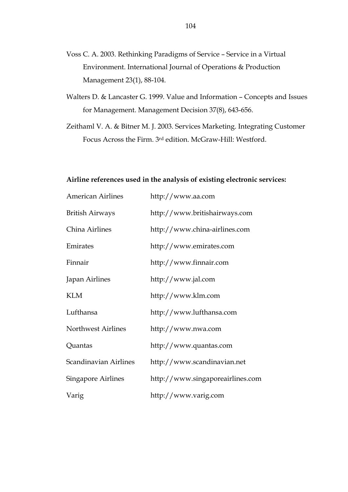- Voss C. A. 2003. Rethinking Paradigms of Service Service in a Virtual Environment. International Journal of Operations & Production Management 23(1), 88-104.
- Walters D. & Lancaster G. 1999. Value and Information Concepts and Issues for Management. Management Decision 37(8), 643-656.
- Zeithaml V. A. & Bitner M. J. 2003. Services Marketing. Integrating Customer Focus Across the Firm. 3rd edition. McGraw-Hill: Westford.

## **Airline references used in the analysis of existing electronic services:**

| <b>American Airlines</b>  | http://www.aa.com                |
|---------------------------|----------------------------------|
| <b>British Airways</b>    | http://www.britishairways.com    |
| China Airlines            | http://www.china-airlines.com    |
| Emirates                  | http://www.emirates.com          |
| Finnair                   | http://www.finnair.com           |
| Japan Airlines            | http://www.jal.com               |
| <b>KLM</b>                | http://www.klm.com               |
| Lufthansa                 | http://www.lufthansa.com         |
| <b>Northwest Airlines</b> | http://www.nwa.com               |
| Quantas                   | http://www.quantas.com           |
| Scandinavian Airlines     | http://www.scandinavian.net      |
| <b>Singapore Airlines</b> | http://www.singaporeairlines.com |
| Varig                     | http://www.varig.com             |